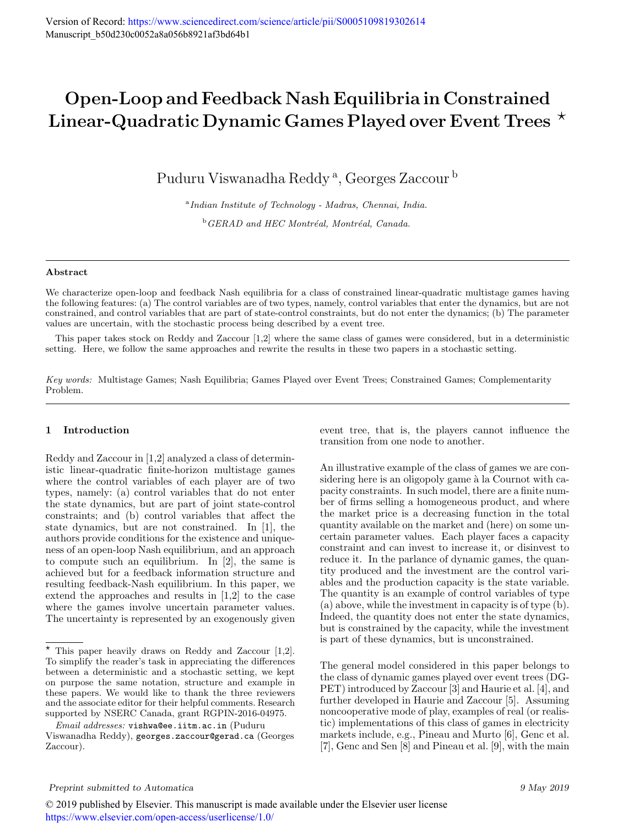# Open-Loop and Feedback Nash Equilibria in Constrained Linear-Quadratic Dynamic Games Played over Event Trees  $\star$

Puduru Viswanadha Reddy <sup>a</sup>, Georges Zaccour <sup>b</sup>

a *Indian Institute of Technology - Madras, Chennai, India.*  $b$ <sup>b</sup> GERAD and HEC Montréal, Montréal, Canada.

#### Abstract

We characterize open-loop and feedback Nash equilibria for a class of constrained linear-quadratic multistage games having the following features: (a) The control variables are of two types, namely, control variables that enter the dynamics, but are not constrained, and control variables that are part of state-control constraints, but do not enter the dynamics; (b) The parameter values are uncertain, with the stochastic process being described by a event tree.

This paper takes stock on Reddy and Zaccour [1,2] where the same class of games were considered, but in a deterministic setting. Here, we follow the same approaches and rewrite the results in these two papers in a stochastic setting.

*Key words:* Multistage Games; Nash Equilibria; Games Played over Event Trees; Constrained Games; Complementarity Problem.

# 1 Introduction

Reddy and Zaccour in [1,2] analyzed a class of deterministic linear-quadratic finite-horizon multistage games where the control variables of each player are of two types, namely: (a) control variables that do not enter the state dynamics, but are part of joint state-control constraints; and (b) control variables that affect the state dynamics, but are not constrained. In [1], the authors provide conditions for the existence and uniqueness of an open-loop Nash equilibrium, and an approach to compute such an equilibrium. In [2], the same is achieved but for a feedback information structure and resulting feedback-Nash equilibrium. In this paper, we extend the approaches and results in [1,2] to the case where the games involve uncertain parameter values. The uncertainty is represented by an exogenously given event tree, that is, the players cannot influence the transition from one node to another.

An illustrative example of the class of games we are considering here is an oligopoly game à la Cournot with capacity constraints. In such model, there are a finite number of firms selling a homogeneous product, and where the market price is a decreasing function in the total quantity available on the market and (here) on some uncertain parameter values. Each player faces a capacity constraint and can invest to increase it, or disinvest to reduce it. In the parlance of dynamic games, the quantity produced and the investment are the control variables and the production capacity is the state variable. The quantity is an example of control variables of type (a) above, while the investment in capacity is of type (b). Indeed, the quantity does not enter the state dynamics, but is constrained by the capacity, while the investment is part of these dynamics, but is unconstrained.

The general model considered in this paper belongs to the class of dynamic games played over event trees (DG-PET) introduced by Zaccour [3] and Haurie et al. [4], and further developed in Haurie and Zaccour [5]. Assuming noncooperative mode of play, examples of real (or realistic) implementations of this class of games in electricity markets include, e.g., Pineau and Murto [6], Genc et al. [7], Genc and Sen [8] and Pineau et al. [9], with the main

Preprint submitted to Automatica 9 May 2019

 $\star$  This paper heavily draws on Reddy and Zaccour [1,2]. To simplify the reader's task in appreciating the differences between a deterministic and a stochastic setting, we kept on purpose the same notation, structure and example in these papers. We would like to thank the three reviewers and the associate editor for their helpful comments. Research supported by NSERC Canada, grant RGPIN-2016-04975.

*Email addresses:* vishwa@ee.iitm.ac.in (Puduru Viswanadha Reddy), georges.zaccour@gerad.ca (Georges Zaccour).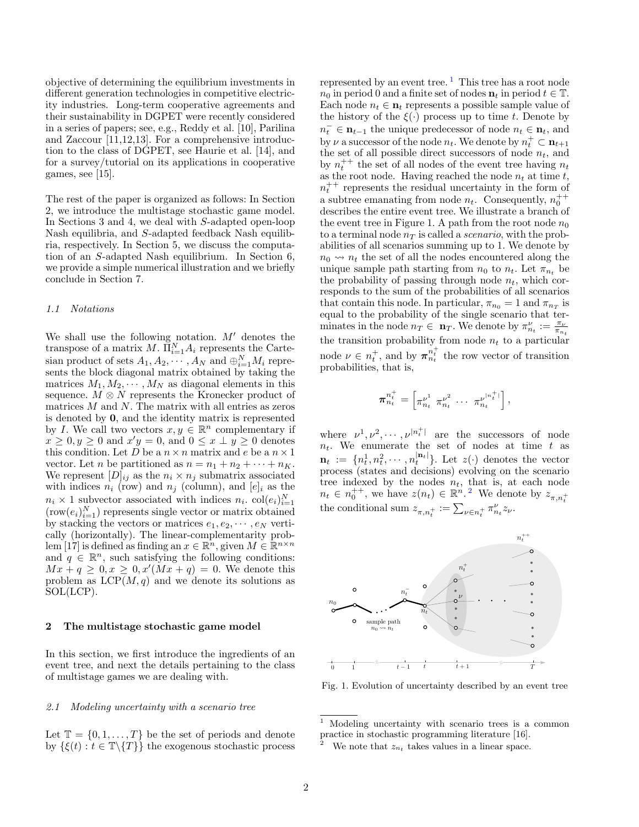objective of determining the equilibrium investments in different generation technologies in competitive electricity industries. Long-term cooperative agreements and their sustainability in DGPET were recently considered in a series of papers; see, e.g., Reddy et al. [10], Parilina and Zaccour [11,12,13]. For a comprehensive introduction to the class of DGPET, see Haurie et al. [14], and for a survey/tutorial on its applications in cooperative games, see [15].

The rest of the paper is organized as follows: In Section 2, we introduce the multistage stochastic game model. In Sections 3 and 4, we deal with S-adapted open-loop Nash equilibria, and S-adapted feedback Nash equilibria, respectively. In Section 5, we discuss the computation of an S-adapted Nash equilibrium. In Section 6, we provide a simple numerical illustration and we briefly conclude in Section 7.

# 1.1 Notations

We shall use the following notation.  $M'$  denotes the transpose of a matrix M.  $\Pi_{i=1}^N A_i$  represents the Cartesian product of sets  $A_1, A_2, \cdots, A_N$  and  $\bigoplus_{i=1}^N M_i$  represents the block diagonal matrix obtained by taking the matrices  $M_1, M_2, \cdots, M_N$  as diagonal elements in this sequence.  $M \otimes N$  represents the Kronecker product of matrices  $M$  and  $N$ . The matrix with all entries as zeros is denoted by 0, and the identity matrix is represented by I. We call two vectors  $x, y \in \mathbb{R}^n$  complementary if  $x \geq 0, y \geq 0$  and  $x'y = 0$ , and  $0 \leq x \perp y \geq 0$  denotes this condition. Let D be a  $n \times n$  matrix and e be a  $n \times 1$ vector. Let *n* be partitioned as  $n = n_1 + n_2 + \cdots + n_K$ . We represent  $[D]_{ij}$  as the  $n_i \times n_j$  submatrix associated with indices  $n_i$  (row) and  $n_j$  (column), and  $[e]_i$  as the  $n_i \times 1$  subvector associated with indices  $n_i$ .  $col(e_i)_{i=1}^N$  $(\text{row}(e_i)_{i=1}^N)$  represents single vector or matrix obtained by stacking the vectors or matrices  $e_1, e_2, \dots, e_N$  vertically (horizontally). The linear-complementarity problem [17] is defined as finding an  $x \in \mathbb{R}^n$ , given  $M \in \mathbb{R}^{n \times n}$ and  $q \in \mathbb{R}^n$ , such satisfying the following conditions:  $Mx + q \ge 0, x \ge 0, x'(Mx + q) = 0.$  We denote this problem as  $LCP(M, q)$  and we denote its solutions as SOL(LCP).

#### 2 The multistage stochastic game model

In this section, we first introduce the ingredients of an event tree, and next the details pertaining to the class of multistage games we are dealing with.

#### 2.1 Modeling uncertainty with a scenario tree

Let  $\mathbb{T} = \{0, 1, \ldots, T\}$  be the set of periods and denote by  $\{\xi(t): t \in \mathbb{T} \setminus \{T\}\}\$  the exogenous stochastic process

represented by an event tree.<sup>1</sup> This tree has a root node  $n_0$  in period 0 and a finite set of nodes  $n_t$  in period  $t \in \mathbb{T}$ . Each node  $n_t \in \mathbf{n}_t$  represents a possible sample value of the history of the  $\xi(\cdot)$  process up to time t. Denote by  $n_t^-$  ∈ **n**<sub>t−1</sub> the unique predecessor of node  $n_t$  ∈ **n**<sub>t</sub>, and by  $\nu$  a successor of the node  $n_t$ . We denote by  $n_t^+ \subset \mathbf{n}_{t+1}$ the set of all possible direct successors of node  $n_t$ , and by  $n_t^{++}$  the set of all nodes of the event tree having  $n_t$ as the root node. Having reached the node  $n_t$  at time t,  $n_t^{++}$  represents the residual uncertainty in the form of a subtree emanating from node  $n_t$ . Consequently,  $n_0^{++}$ describes the entire event tree. We illustrate a branch of the event tree in Figure 1. A path from the root node  $n_0$ to a terminal node  $n<sub>T</sub>$  is called a *scenario*, with the probabilities of all scenarios summing up to 1. We denote by  $n_0 \rightarrow n_t$  the set of all the nodes encountered along the unique sample path starting from  $n_0$  to  $n_t$ . Let  $\pi_{n_t}$  be the probability of passing through node  $n_t$ , which corresponds to the sum of the probabilities of all scenarios that contain this node. In particular,  $\pi_{n_0} = 1$  and  $\pi_{n_T}$  is equal to the probability of the single scenario that terminates in the node  $n_T \in \mathbf{n}_T$ . We denote by  $\pi_{n_t}^{\nu} := \frac{\pi_{\nu}}{\pi_{n_t}}$ the transition probability from node  $n_t$  to a particular node  $\nu \in n_t^+$ , and by  $\pi_{n_t}^{n_t^+}$  the row vector of transition probabilities, that is,

$$
\pi_{n_t}^{n_t^+} = \left[ \pi_{n_t}^{\nu^1} \ \pi_{n_t}^{\nu^2} \ \cdots \ \pi_{n_t}^{\nu^{|n_t^+|}} \right],
$$

where  $\nu^1, \nu^2, \cdots, \nu^{|n_t^+|}$  are the successors of node  $n_t$ . We enumerate the set of nodes at time t as  $\mathbf{n}_t := \{n_t^1, n_t^2, \cdots, n_t^{|\mathbf{n}_t|}\}.$  Let  $z(\cdot)$  denotes the vector process (states and decisions) evolving on the scenario tree indexed by the nodes  $n_t$ , that is, at each node  $n_t \in n_0^{++}$ , we have  $z(n_t) \in \mathbb{R}^{n}$ . We denote by  $z_{\pi,n_t^{+}}$ the conditional sum  $z_{\pi,n_t^+} := \sum_{\nu \in n_t^+} \pi_{n_t}^{\nu} z_{\nu}$ .



Fig. 1. Evolution of uncertainty described by an event tree

<sup>1</sup> Modeling uncertainty with scenario trees is a common practice in stochastic programming literature [16].

<sup>&</sup>lt;sup>2</sup> We note that  $z_{n_t}$  takes values in a linear space.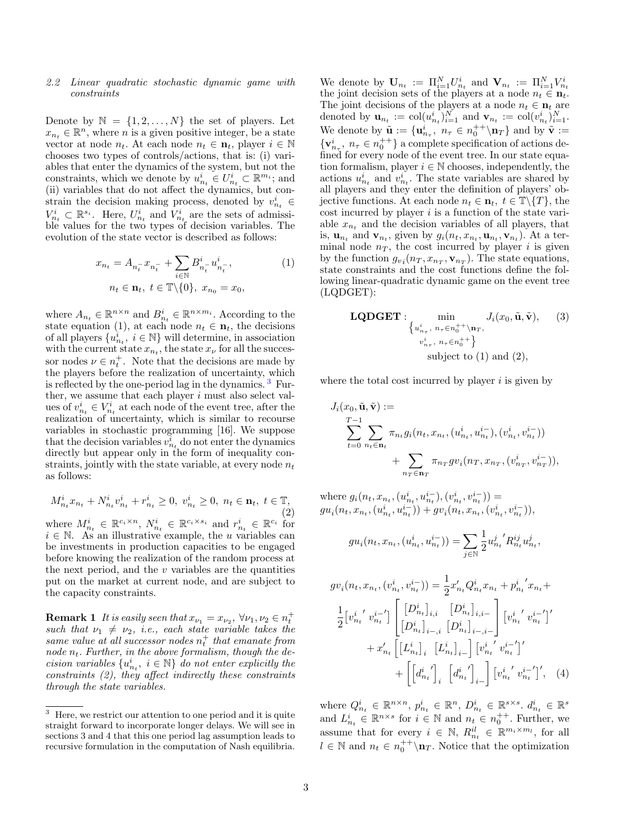# 2.2 Linear quadratic stochastic dynamic game with constraints

Denote by  $\mathbb{N} = \{1, 2, ..., N\}$  the set of players. Let  $x_{n_t} \in \mathbb{R}^n$ , where *n* is a given positive integer, be a state vector at node  $n_t$ . At each node  $n_t \in \mathbf{n}_t$ , player  $i \in \mathbb{N}$ chooses two types of controls/actions, that is: (i) variables that enter the dynamics of the system, but not the constraints, which we denote by  $u_{n_t}^i \in U_{n_t}^i \subset \mathbb{R}^{m_i}$ ; and (ii) variables that do not affect the dynamics, but constrain the decision making process, denoted by  $v_{n_t}^i$   $\in$  $V_{n_t}^i \subset \mathbb{R}^{s_i}$ . Here,  $U_{n_t}^i$  and  $V_{n_t}^i$  are the sets of admissible values for the two types of decision variables. The evolution of the state vector is described as follows:

$$
x_{n_t} = A_{n_t^-} x_{n_t^-} + \sum_{i \in \mathbb{N}} B_{n_t^-}^i u_{n_t^-}^i,
$$
  
\n
$$
n_t \in \mathbf{n}_t, \ t \in \mathbb{T} \setminus \{0\}, \ x_{n_0} = x_0,
$$
\n(1)

where  $A_{n_t} \in \mathbb{R}^{n \times n}$  and  $B_{n_t}^i \in \mathbb{R}^{n \times m_i}$ . According to the state equation (1), at each node  $n_t \in \mathbf{n}_t$ , the decisions of all players  $\{u_{n_t}^i, i \in \mathbb{N}\}\$  will determine, in association with the current state  $x_{n_t}$ , the state  $x_{\nu}$  for all the successor nodes  $\nu \in n_t^+$ . Note that the decisions are made by the players before the realization of uncertainty, which is reflected by the one-period lag in the dynamics. <sup>3</sup> Further, we assume that each player  $i$  must also select values of  $v_{n_t}^i \in V_{n_t}^i$  at each node of the event tree, after the realization of uncertainty, which is similar to recourse variables in stochastic programming [16]. We suppose that the decision variables  $v_{n_t}^i$  do not enter the dynamics directly but appear only in the form of inequality constraints, jointly with the state variable, at every node  $n_t$ as follows:

 $M_{n_t}^i x_{n_t} + N_{n_t}^i v_{n_t}^i + r_{n_t}^i \ge 0, \ v_{n_t}^i \ge 0, \ n_t \in \mathbf{n}_t, \ t \in \mathbb{T},$ (2) where  $M_{n_t}^i \in \mathbb{R}^{c_i \times n}$ ,  $N_{n_t}^i \in \mathbb{R}^{c_i \times s_i}$  and  $r_{n_t}^i \in \mathbb{R}^{c_i}$  for  $i \in \mathbb{N}$ . As an illustrative example, the u variables can be investments in production capacities to be engaged before knowing the realization of the random process at the next period, and the  $v$  variables are the quantities put on the market at current node, and are subject to the capacity constraints.

**Remark 1** It is easily seen that  $x_{\nu_1} = x_{\nu_2}, \forall \nu_1, \nu_2 \in n_t^+$ such that  $\nu_1 \neq \nu_2$ , i.e., each state variable takes the same value at all successor nodes  $n_t^+$  that emanate from node  $n_t$ . Further, in the above formalism, though the decision variables  $\{u_{n_t}^i, i \in \mathbb{N}\}\$  do not enter explicitly the constraints (2), they affect indirectly these constraints through the state variables.

We denote by  $\mathbf{U}_{n_t} := \Pi_{i=1}^N U_{n_t}^i$  and  $\mathbf{V}_{n_t} := \Pi_{i=1}^N V_{n_t}^i$  the joint decision sets of the players at a node  $n_t \in \mathbf{n}_t$ . The joint decisions of the players at a node  $n_t \in \mathbf{n}_t$  are denoted by  $\mathbf{u}_{n_t} := \text{col}(u_{n_t}^i)_{i=1}^N$  and  $\mathbf{v}_{n_t} := \text{col}(v_{n_t}^i)_{i=1}^N$ . We denote by  $\tilde{\mathbf{u}} := {\mathbf{u}_{n_{\tau}}^i}$ ,  $n_{\tau} \in n_0^{++} \setminus \mathbf{n}_T$  and by  $\tilde{\mathbf{v}} :=$  $\{v_{n_{\tau}}^i, n_{\tau} \in n_0^{++}\}\$ a complete specification of actions defined for every node of the event tree. In our state equation formalism, player  $i \in \mathbb{N}$  chooses, independently, the actions  $u_{n_t}^i$  and  $v_{n_t}^i$ . The state variables are shared by all players and they enter the definition of players' objective functions. At each node  $n_t \in \mathbf{n}_t$ ,  $t \in \mathbb{T} \setminus \{T\}$ , the  $\cos t$  incurred by player i is a function of the state variable  $x_{n_t}$  and the decision variables of all players, that is,  $\mathbf{u}_{n_t}$  and  $\mathbf{v}_{n_t}$ , given by  $g_i(n_t, x_{n_t}, \mathbf{u}_{n_t}, \mathbf{v}_{n_t})$ . At a terminal node  $n<sub>T</sub>$ , the cost incurred by player i is given by the function  $g_{vi}(n_T, x_{n_T}, \mathbf{v}_{n_T})$ . The state equations, state constraints and the cost functions define the following linear-quadratic dynamic game on the event tree (LQDGET):

**LQDGET**: 
$$
\min_{\substack{\{u_{n_{\tau}}^i, n_{\tau} \in n_0^{++}\setminus \mathbf{n}_T, \\ v_{n_{\tau}}^i, n_{\tau} \in n_0^{++}\}}} J_i(x_0, \tilde{\mathbf{u}}, \tilde{\mathbf{v}}),
$$
 (3)  
subject to (1) and (2),

where the total cost incurred by player  $i$  is given by

$$
J_i(x_0, \tilde{\mathbf{u}}, \tilde{\mathbf{v}}) :=
$$
  

$$
\sum_{t=0}^{T-1} \sum_{n_t \in \mathbf{n}_t} \pi_{n_t} g_i(n_t, x_{n_t}, (u_{n_t}^i, u_{n_t}^{i-}), (v_{n_t}^i, v_{n_t}^{i-}))
$$
  

$$
+ \sum_{n_T \in \mathbf{n}_T} \pi_{n_T} g v_i(n_T, x_{n_T}, (v_{n_T}^i, v_{n_T}^{i-})),
$$

where  $g_i(n_t, x_{n_t}, (u_{n_t}^i, u_{n_t}^{i-}), (v_{n_t}^i, v_{n_t}^{i-})) =$  $gu_i(n_t, x_{n_t}, (u_{n_t}^i, u_{n_t}^{i-})) + gv_i(n_t, x_{n_t}, (v_{n_t}^i, v_{n_t}^{i-})),$ 

$$
gu_i(n_t, x_{n_t}, (u_{n_t}^i, u_{n_t}^{i-})) = \sum_{j \in \mathbb{N}} \frac{1}{2} u_{n_t}^{j'} R_{n_t}^{ij} u_{n_t}^{j},
$$

$$
gv_i(n_t, x_{n_t}, (v_{n_t}^i, v_{n_t}^{i-})) = \frac{1}{2} x'_{n_t} Q_{n_t}^i x_{n_t} + p_{n_t}^{i'} x_{n_t} + \frac{1}{2} [v_{n_t}^{i'} v_{n_t}^{i-}] \begin{bmatrix} [D_{n_t}^i]_{i,i} & [D_{n_t}^i]_{i,i-} \\ [D_{n_t}^i]_{i-1,i} & [D_{n_t}^i]_{i-1-i} \end{bmatrix} [v_{n_t}^{i'} v_{n_t}^{i-}]'
$$
  
+  $x'_{n_t} [L_{n_t}^i]_i [L_{n_t}^i]_{i-}] [v_{n_t}^{i'} v_{n_t}^{i-}]'$   
+ 
$$
\begin{bmatrix} d_{n_t}^{i'} \end{bmatrix}_i [d_{n_t}^{i'}]_i - \begin{bmatrix} d_{n_t}^{i'} \end{bmatrix}_i [v_{n_t}^{i'} v_{n_t}^{i-}]', \quad (4)
$$

where  $Q_{n_t}^i \in \mathbb{R}^{n \times n}$ ,  $p_{n_t}^i \in \mathbb{R}^n$ ,  $D_{n_t}^i \in \mathbb{R}^{s \times s}$ .  $d_{n_t}^i \in \mathbb{R}^s$ and  $L_{n_t}^i \in \mathbb{R}^{n \times s}$  for  $i \in \mathbb{N}$  and  $n_t \in n_0^{++}$ . Further, we assume that for every  $i \in \mathbb{N}$ ,  $R_{n_t}^{il} \in \mathbb{R}^{m_i \times m_l}$ , for all  $l \in \mathbb{N}$  and  $n_t \in n_0^{++} \setminus \mathbf{n}_T$ . Notice that the optimization

<sup>3</sup> Here, we restrict our attention to one period and it is quite straight forward to incorporate longer delays. We will see in sections 3 and 4 that this one period lag assumption leads to recursive formulation in the computation of Nash equilibria.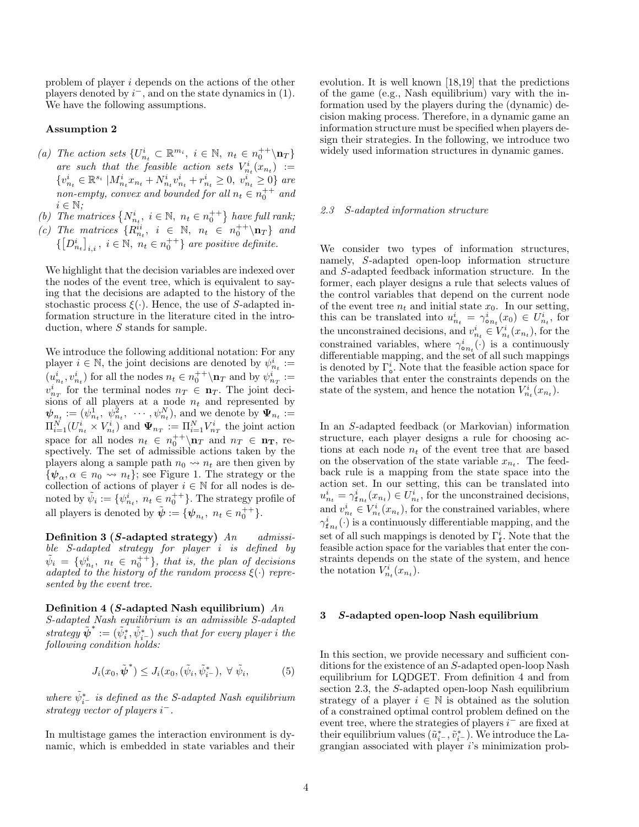problem of player i depends on the actions of the other players denoted by  $i^-$ , and on the state dynamics in (1). We have the following assumptions.

#### Assumption 2

- (a) The action sets  $\{U_{n_t}^i \subset \mathbb{R}^{m_i}, i \in \mathbb{N}, n_t \in n_0^{++} \backslash \mathbf{n}_T\}$ are such that the feasible action sets  $V^i_{n_t}(x_{n_t})$  :=  $\{v_{n_t}^i \in \mathbb{R}^{s_i} \mid M_{n_t}^i x_{n_t} + N_{n_t}^i v_{n_t}^i + r_{n_t}^i \geq 0, v_{n_t}^i \geq 0\}$  are non-empty, convex and bounded for all  $n_t \in n_0^{++}$  and  $i \in \mathbb{N}$ ;
- (b) The matrices  $\{N_{n_t}^i, i \in \mathbb{N}, n_t \in n_0^{++}\}\$  have full rank;
- (c) The matrices  $\{R_{n_t}^{ii}, i \in \mathbb{N}, n_t \in n_0^{++} \backslash \mathbf{n}_T\}$  and  $\{[D_{n_t}^i]_{i,i}, i \in \mathbb{N}, n_t \in n_0^{++}\}\$ are positive definite.

We highlight that the decision variables are indexed over the nodes of the event tree, which is equivalent to saying that the decisions are adapted to the history of the stochastic process  $\xi(\cdot)$ . Hence, the use of S-adapted information structure in the literature cited in the introduction, where  $S$  stands for sample.

We introduce the following additional notation: For any player  $i \in \mathbb{N}$ , the joint decisions are denoted by  $\psi_{n_t}^i :=$  $(u^i_{n_t}, v^i_{n_t})$  for all the nodes  $n_t \in n_0^{++} \backslash \mathbf{n}_T$  and by  $\psi^i_{n_T} :=$  $v_{n_T}^i$  for the terminal nodes  $n_T \in \mathbf{n}_T$ . The joint decisions of all players at a node  $n_t$  and represented by  $\boldsymbol{\psi}_{n_t} := (\psi_{n_t}^1, \ \psi_{n_t}^2, \ \cdots, \psi_{n_t}^N)$ , and we denote by  $\boldsymbol{\Psi}_{n_t} :=$  $\Pi_{i=1}^N(U^i_{n_t} \times V^i_{n_t})$  and  $\Psi_{n_T} := \Pi_{i=1}^N V^i_{n_T}$  the joint action space for all nodes  $n_t \in n_0^{++} \backslash \mathbf{n}_T$  and  $n_T \in \mathbf{n}_T$ , respectively. The set of admissible actions taken by the players along a sample path  $n_0 \rightarrow n_t$  are then given by  $\{\psi_\alpha, \alpha \in n_0 \leadsto n_t\};$  see Figure 1. The strategy or the collection of actions of player  $i\in\mathbb{N}$  for all nodes is denoted by  $\tilde{\psi}_i := \{ \psi_{n_t}^i, n_t \in n_0^{++} \}$ . The strategy profile of all players is denoted by  $\tilde{\psi} := {\psi_{n_t}, \ n_t \in n_0^{++}}.$ 

Definition 3 (S-adapted strategy)  $An$  admissible S-adapted strategy for player i is defined by  $\tilde{\psi}_i = {\psi_{n_t}^i, n_t \in n_0^{++}},\$  that is, the plan of decisions adapted to the history of the random process  $\xi(\cdot)$  represented by the event tree.

Definition 4 (S-adapted Nash equilibrium)  $An$ S-adapted Nash equilibrium is an admissible S-adapted strategy  $\tilde{\boldsymbol{\psi}}^* := (\tilde{\psi}_i^*, \tilde{\psi}_{i-}^*)$  such that for every player i the following condition holds:

$$
J_i(x_0, \tilde{\psi}^*) \le J_i(x_0, (\tilde{\psi}_i, \tilde{\psi}_{i^-}^*), \ \forall \ \tilde{\psi}_i,
$$
 (5)

where  $\tilde{\psi}_{i^-}^*$  is defined as the S-adapted Nash equilibrium strategy vector of players  $i^-$ .

In multistage games the interaction environment is dynamic, which is embedded in state variables and their evolution. It is well known [18,19] that the predictions of the game (e.g., Nash equilibrium) vary with the information used by the players during the (dynamic) decision making process. Therefore, in a dynamic game an information structure must be specified when players design their strategies. In the following, we introduce two widely used information structures in dynamic games.

# 2.3 S-adapted information structure

We consider two types of information structures, namely, S-adapted open-loop information structure and S-adapted feedback information structure. In the former, each player designs a rule that selects values of the control variables that depend on the current node of the event tree  $n_t$  and initial state  $x_0$ . In our setting, this can be translated into  $u_{n_t}^i = \gamma_{\text{o}_{n_t}}^i(x_0) \in U_{n_t}^i$ , for the unconstrained decisions, and  $v_{n_t}^i \in V_{n_t}^i(x_{n_t})$ , for the constrained variables, where  $\gamma_{on_t}^i(\cdot)$  is a continuously differentiable mapping, and the set of all such mappings is denoted by  $\Gamma^i_{\circ}$ . Note that the feasible action space for the variables that enter the constraints depends on the state of the system, and hence the notation  $V_{n_t}^i(x_{n_t})$ .

In an S-adapted feedback (or Markovian) information structure, each player designs a rule for choosing actions at each node  $n_t$  of the event tree that are based on the observation of the state variable  $x_{n_t}$ . The feedback rule is a mapping from the state space into the action set. In our setting, this can be translated into  $u_{n_t}^i = \gamma_{\text{f}_{n_t}}^i(x_{n_t}) \in U_{n_t}^i$ , for the unconstrained decisions, and  $v_{n_t}^i \in V_{n_t}^i(x_{n_t})$ , for the constrained variables, where  $\gamma_{{\bf f} n_t}^i(\cdot)$  is a continuously differentiable mapping, and the set of all such mappings is denoted by  $\Gamma_{\bf f}^i$ . Note that the feasible action space for the variables that enter the constraints depends on the state of the system, and hence the notation  $V^i_{n_t}(x_{n_t}).$ 

#### 3 S-adapted open-loop Nash equilibrium

In this section, we provide necessary and sufficient conditions for the existence of an S-adapted open-loop Nash equilibrium for LQDGET. From definition 4 and from section 2.3, the S-adapted open-loop Nash equilibrium strategy of a player  $i \in \mathbb{N}$  is obtained as the solution of a constrained optimal control problem defined on the event tree, where the strategies of players  $i^-$  are fixed at their equilibrium values  $(\tilde{u}^*_{i^-}, \tilde{v}^*_{i^-})$ . We introduce the Lagrangian associated with player i's minimization prob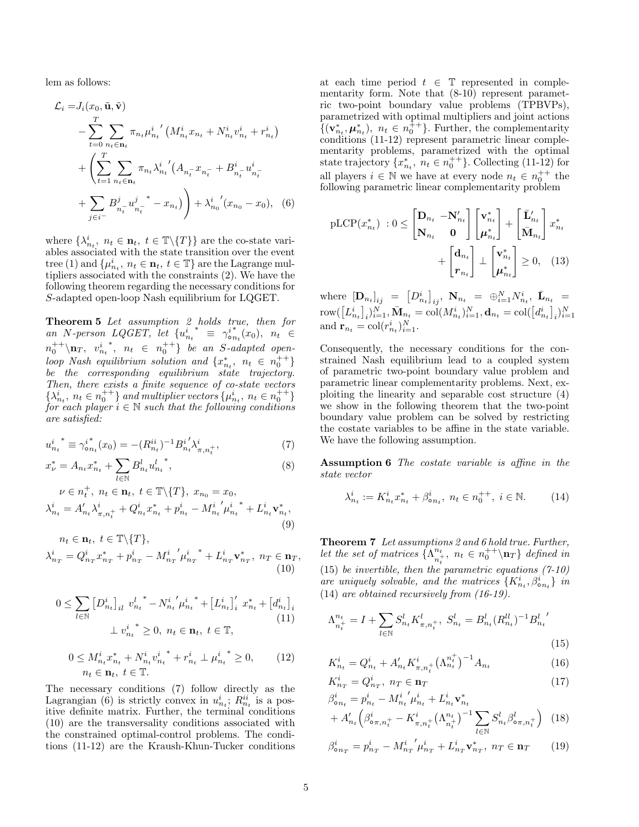lem as follows:

$$
\mathcal{L}_{i} = J_{i}(x_{0}, \tilde{\mathbf{u}}, \tilde{\mathbf{v}})
$$
\n
$$
- \sum_{t=0}^{T} \sum_{n_{t} \in \mathbf{n}_{t}} \pi_{n_{t}} \mu_{n_{t}}^{i} \left( M_{n_{t}}^{i} x_{n_{t}} + N_{n_{t}}^{i} v_{n_{t}}^{i} + r_{n_{t}}^{i} \right)
$$
\n
$$
+ \left( \sum_{t=1}^{T} \sum_{n_{t} \in \mathbf{n}_{t}} \pi_{n_{t}} \lambda_{n_{t}}^{i} \left( A_{n_{t}}^{-} x_{n_{t}}^{-} + B_{n_{t}}^{i} u_{n_{t}}^{i} \right) + \sum_{j \in i^{-}} B_{n_{t}}^{j} u_{n_{t}}^{j} \right) + \lambda_{n_{0}}^{i} \left( x_{n_{0}} - x_{0} \right), \quad (6)
$$

where  $\{\lambda_{n_t}^i, n_t \in \mathbf{n}_t, t \in \mathbb{T} \setminus \{T\}\}\$ are the co-state variables associated with the state transition over the event tree (1) and  $\{\mu_{n_t}^i, n_t \in \mathbf{n}_t, t \in \mathbb{T}\}\$  are the Lagrange multipliers associated with the constraints (2). We have the following theorem regarding the necessary conditions for S-adapted open-loop Nash equilibrium for LQGET.

Theorem 5 Let assumption 2 holds true, then for an N-person LQGET, let  ${u_{n_t}^i}^* \equiv \gamma_{\text{o}_n}^{i*}$  $\int_{n_t}^{\infty} (x_0), \; n_t$  ∈  $n_0^{++}\backslash {\bf n}_T, \;\; v_{n_t}^i$ \*,  $n_t \in n_0^{++}$ } be an S-adapted openloop Nash equilibrium solution and  $\{x_{n_t}^*, n_t \in n_0^{++}\}\$ be the corresponding equilibrium state trajectory. Then, there exists a finite sequence of co-state vectors  $\{\lambda_{n_t}^i, n_t \in n_0^{++}\}\$  and multiplier vectors  $\{\mu_{n_t}^i, n_t \in n_0^{++}\}\$ for each player  $i \in \mathbb{N}$  such that the following conditions are satisfied:

$$
u_{n_t}^{i^*} \equiv \gamma_{\text{on}_t}^{i^*}(x_0) = -(R_{n_t}^{ii})^{-1} B_{n_t}^{i'} \lambda_{\pi, n_t^+}^{i}, \tag{7}
$$

$$
x_{\nu}^* = A_{n_t} x_{n_t}^* + \sum_{l \in \mathbb{N}} B_{n_l}^l u_{n_t}^{l,*}, \qquad (8)
$$

$$
\nu \in n_t^+, n_t \in \mathbf{n}_t, t \in \mathbb{T} \setminus \{T\}, x_{n_0} = x_0,
$$
  

$$
\lambda_{n_t}^i = A'_{n_t} \lambda_{\pi, n_t^+}^i + Q_{n_t}^i x_{n_t}^* + p_{n_t}^i - M_{n_t}^{i'} \mu_{n_t}^{i,*} + L_{n_t}^i \mathbf{v}_{n_t}^*,
$$
  
(9)

$$
n_{t} \in \mathbf{n}_{t}, t \in \mathbb{T} \setminus \{T\},
$$
  

$$
\lambda_{n_{T}}^{i} = Q_{n_{T}}^{i} x_{n_{T}}^{*} + p_{n_{T}}^{i} - M_{n_{T}}^{i} \mu_{n_{T}}^{i}^{*} + L_{n_{T}}^{i} \mathbf{v}_{n_{T}}^{*}, n_{T} \in \mathbf{n}_{T},
$$
  
(10)

$$
0 \leq \sum_{l \in \mathbb{N}} \left[ D_{n_l}^i \right]_{il} v_{n_t}^{l,*} - N_{n_t}^{i'} \mu_{n_t}^{i,*} + \left[ L_{n_t}^i \right]_i' x_{n_t}^* + \left[ d_{n_t}^i \right]_i
$$
  

$$
\perp v_{n_t}^{i,*} \geq 0, \ n_t \in \mathbf{n}_t, \ t \in \mathbb{T},
$$
  

$$
0 \leq M_{n_t}^{i,*} \leq 0, \ n_t \in \mathbf{n}_t, \ t \in \mathbb{T},
$$
 (19)

$$
0 \le M_{n_t}^i x_{n_t}^* + N_{n_t}^i v_{n_t}^{i,*} + r_{n_t}^i \perp \mu_{n_t}^{i,*} \ge 0, \qquad (12)
$$
  

$$
n_t \in \mathbf{n}_t, \ t \in \mathbb{T}.
$$

The necessary conditions (7) follow directly as the Lagrangian (6) is strictly convex in  $u_{n_t}^i$ ;  $R_{n_t}^{ii}$  is a positive definite matrix. Further, the terminal conditions (10) are the transversality conditions associated with the constrained optimal-control problems. The conditions (11-12) are the Kraush-Khun-Tucker conditions at each time period  $t \in \mathbb{T}$  represented in complementarity form. Note that (8-10) represent parametric two-point boundary value problems (TPBVPs), parametrized with optimal multipliers and joint actions  $\{(\mathbf{v}_{n_t}^*, \boldsymbol{\mu}_{n_t}^*), n_t \in n_0^{T+}\}\.$  Further, the complementarity conditions (11-12) represent parametric linear complementarity problems, parametrized with the optimal state trajectory  $\{x_{n_t}^*, n_t \in n_0^{++}\}\)$ . Collecting (11-12) for all players  $i \in \mathbb{N}$  we have at every node  $n_t \in n_0^{++}$  the following parametric linear complementarity problem

$$
\text{pLCP}(x_{n_t}^*) : 0 \leq \begin{bmatrix} \mathbf{D}_{n_t} & -\mathbf{N}_{n_t}' \\ \mathbf{N}_{n_t} & \mathbf{0} \end{bmatrix} \begin{bmatrix} \mathbf{v}_{n_t}^* \\ \boldsymbol{\mu}_{n_t}^* \end{bmatrix} + \begin{bmatrix} \bar{\mathbf{L}}_{n_t}' \\ \bar{\mathbf{M}}_{n_t} \end{bmatrix} x_{n_t}^* + \begin{bmatrix} \mathbf{d}_{n_t} \\ \mathbf{r}_{n_t} \end{bmatrix} \perp \begin{bmatrix} \mathbf{v}_{n_t}^* \\ \boldsymbol{\mu}_{n_t}^* \end{bmatrix} \geq 0, \quad (13)
$$

where  $[\mathbf{D}_{n_t}]_{ij} = [D_{n_t}^i]_{ij}$ ,  $\mathbf{N}_{n_t} = \bigoplus_{i=1}^N N_{n_t}^i$ ,  $\bar{\mathbf{L}}_{n_t} =$  $\text{row}([\![L_{n_t}^i]\!]_i)_{i=1}^N, \bar{\mathbf{M}}_{n_t} = \text{col}([\![M_{n_t}^i]\!]_{i=1}^N, \mathbf{d}_{n_t} = \text{col}([\![d_{n_t}^i]\!]_i)_{i=1}^N$ and  $\mathbf{r}_{n_t} = \text{col}(r_{n_t}^i)_{i=1}^N$ .

Consequently, the necessary conditions for the constrained Nash equilibrium lead to a coupled system of parametric two-point boundary value problem and parametric linear complementarity problems. Next, exploiting the linearity and separable cost structure (4) we show in the following theorem that the two-point boundary value problem can be solved by restricting the costate variables to be affine in the state variable. We have the following assumption.

Assumption 6 The costate variable is affine in the state vector

$$
\lambda_{n_t}^i := K_{n_t}^i x_{n_t}^* + \beta_{\text{on}_t}^i, \ n_t \in n_0^{++}, \ i \in \mathbb{N}.
$$
 (14)

Theorem 7 Let assumptions 2 and 6 hold true. Further, let the set of matrices  $\{\Lambda^{n_t}_{\perp}\}$  $\binom{n_t}{n_t}$ ,  $n_t \in n_0^{++} \setminus \mathbf{n}_T$  defined in  $(15)$  be invertible, then the parametric equations  $(7-10)$ are uniquely solvable, and the matrices  $\{K_{n_t}^i, \beta_{\circ n_t}^i\}$  in (14) are obtained recursively from (16-19).

$$
\Lambda_{n_t^+}^{n_t} = I + \sum_{l \in \mathbb{N}} S_{n_t}^l K_{\pi, n_t^+}^l, \ S_{n_t}^l = B_{n_t}^l (R_{n_t}^{ll})^{-1} B_{n_t}^{l} \tag{15}
$$

$$
K_{n_t}^i = Q_{n_t}^i + A_{n_t}' K_{\pi, n_t^+}^i \left(\Lambda_{n_t}^{n_t^+}\right)^{-1} A_{n_t}
$$
\n(16)

$$
K_{n_T}^i = Q_{n_T}^i, \ n_T \in \mathbf{n}_T
$$
\n
$$
j \quad i \quad \mathbf{n}_T^i, \ n = 1 \tag{17}
$$

$$
\beta_{\mathbf{0}n_t}^i = p_{n_t}^i - M_{n_t}^{i'} \mu_{n_t}^i + L_{n_t}^i \mathbf{v}_{n_t}^*
$$
  
+ 
$$
A'_{n_t} \left( \beta_{\mathbf{0}\pi,n_t}^i - K_{\pi,n_t}^i \left( \Lambda_{n_t}^{n_t} \right)^{-1} \sum_{l \in \mathbb{N}} S_{n_t}^l \beta_{\mathbf{0}\pi,n_t}^l \right) (18)
$$

$$
\beta_{\bullet n_T}^i = p_{n_T}^i - M_{n_T}^{i} / \mu_{n_T}^i + L_{n_T}^i \mathbf{v}_{n_T}^*, \ n_T \in \mathbf{n}_T \qquad (19)
$$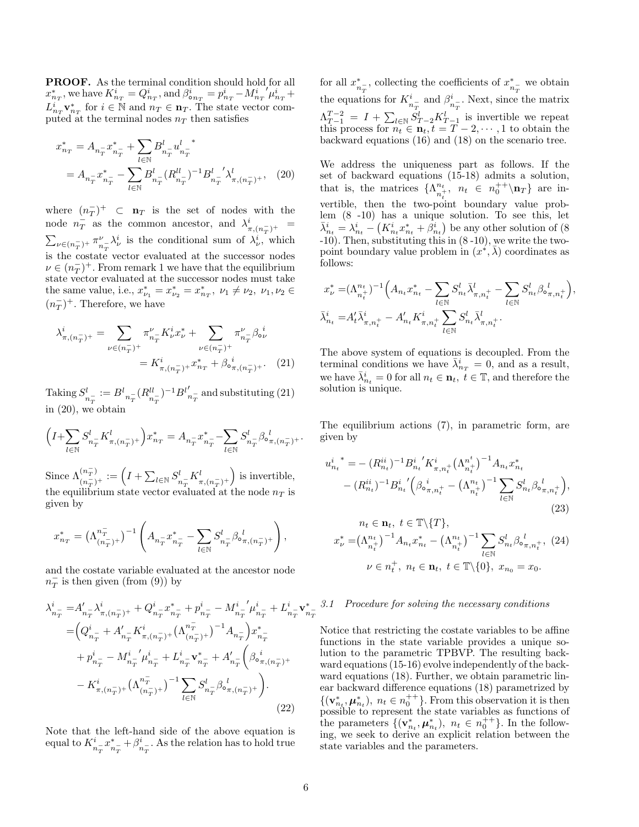PROOF. As the terminal condition should hold for all  $x_{n_T}^*$ , we have  $K_{n_T}^i = Q_{n_T}^i$ , and  $\beta_{\text{o}_{n_T}}^i = p_{n_T}^i - M_{n_T}^i$  $\mu_{n_T}^i +$  $L_{n_T}^i$  **v**<sub> $n_T$ </sub> for  $i \in \mathbb{N}$  and  $n_T \in \mathbf{n}_T$ . The state vector computed at the terminal nodes  $n_T$  then satisfies

$$
x_{n_T}^* = A_{n_T^-} x_{n_T^-}^* + \sum_{l \in \mathbb{N}} B_{n_T^-}^l u_{n_T^-}^{l^*}
$$
  
=  $A_{n_T^-} x_{n_T^-}^* - \sum_{l \in \mathbb{N}} B_{n_T^-}^l (R_{n_T^-}^{l_l})^{-1} B_{n_T^-}^l \lambda_{\pi, (n_T^-)^+}^l,$  (20)

where  $(n_T^-)^+$   $\subset$  **n**<sub>T</sub> is the set of nodes with the node  $n_T^-$  as the common ancestor, and  $\lambda_{\tau}^i$  $\frac{i}{\pi,(n_{\scriptscriptstyle T}^-)^+}$  =  $\sum_{\nu \in (n_{\tau}^-)^+} \pi_{n_{\tau}}^{\nu} \lambda_{\nu}^i$  is the conditional sum of  $\lambda_{\nu}^{i, n_{\tau}}$ ,  $\frac{\nu}{n_T}\lambda^i_{\nu}$  is the conditional sum of  $\lambda^i_{\nu}$ , which is the costate vector evaluated at the successor nodes  $\nu \in (n_T^-)^+$ . From remark 1 we have that the equilibrium state vector evaluated at the successor nodes must take the same value, i.e.,  $x_{\nu_1}^* = x_{\nu_2}^* = x_{n_T}^*$ ,  $\nu_1 \neq \nu_2$ ,  $\nu_1, \nu_2 \in$  $(n_{T}^{-})^{+}.$  Therefore, we have

$$
\lambda_{\pi,(n_{T}^{-})^{+}}^{i} = \sum_{\nu \in (n_{T}^{-})^{+}} \pi_{n_{T}}^{\nu} K_{\nu}^{i} x_{\nu}^{*} + \sum_{\nu \in (n_{T}^{-})^{+}} \pi_{n_{T}}^{\nu} \beta_{\sigma}^{i} \mu_{\sigma}^{i}
$$
\n
$$
= K_{\pi,(n_{T}^{-})^{+}}^{i} x_{n_{T}}^{*} + \beta_{\sigma_{\pi,(n_{T})^{+}}}^{i}.
$$
\n(21)

Taking  $S^l_z$  $\frac{d}{n_T} := B^l_{n_T} (R^{ll}_{n_T})^{-1} B^{l_T'}$  $n_{T}^{'}$  and substituting (21) in (20), we obtain

$$
\Big(I+\sum_{l\in \mathbb N} S_{n_{T}}^{l}K_{\pi,(n_{T}^{-})^{+}}^{l}\Big)x_{n_{T}}^{*}=A_{n_{T}^{-}}x_{n_{T}^{-}}^{*}-\sum_{l\in \mathbb N} S_{n_{T}}^{l}\beta_{\text{o}_{\pi,(n_{T}^{-})^{+}}}^{\;l}.
$$

Since  $\Lambda_{(n-1)}^{(n-1)}$  $\frac{(n_{T}^{-})}{(n_{T}^{-})^{+}}:=\left(I+\sum_{l\in\mathbb{N}}S_{r}^{l}\right)$  $\binom{n}{n_T} K^l_{\pi,(n_T^-)^+}$  is invertible, the equilibrium state vector evaluated at the node  $n<sub>T</sub>$  is given by

$$
x_{n_T}^* = \left(\Lambda_{(n_T^-\,)^+}^{n_T^-}\right)^{-1} \left(A_{n_T^-} x_{n_T^-}^* - \sum_{l \in \mathbb{N}} S_{n_T^-}^l \beta_{\mathfrak{o}_{\pi,(n_T^-)}^l}^l + \right),
$$

and the costate variable evaluated at the ancestor node  $n_T^-$  is then given (from (9)) by

$$
\lambda_{n_{\overline{T}}}^{i} = A'_{n_{\overline{T}}} \lambda_{\pi, (n_{\overline{T}}^{+})^{+}}^{i} + Q_{n_{\overline{T}}}^{i} x_{n_{\overline{T}}}^{*} + p_{n_{\overline{T}}}^{i} - M_{n_{\overline{T}}}^{i} \mu_{n_{\overline{T}}}^{i} + L_{n_{\overline{T}}}^{i} \mathbf{v}_{n_{\overline{T}}}^{*} \n= \left(Q_{n_{\overline{T}}}^{i} + A'_{n_{\overline{T}}} K_{\pi, (n_{\overline{T}}^{-})^{+}}^{i} \left(\Lambda_{(n_{\overline{T}}^{-})^{+}}^{n_{\overline{T}}} \right)^{-1} A_{n_{\overline{T}}} \right) x_{n_{\overline{T}}}^{*} \n+ p_{n_{\overline{T}}}^{i} - M_{n_{\overline{T}}}^{i} \mu_{n_{\overline{T}}}^{i} + L_{n_{\overline{T}}}^{i} \mathbf{v}_{n_{\overline{T}}}^{*} + A'_{n_{\overline{T}}} \left(\beta_{\mathbf{o}_{\pi, (n_{\overline{T}}^{-})^{+}}^{i} \right) \n- K_{\pi, (n_{\overline{T}}^{-})^{+}}^{i} \left(\Lambda_{(n_{\overline{T}}^{-})^{+}}^{n_{\overline{T}}} \right)^{-1} \sum_{l \in \mathbb{N}} S_{n_{\overline{T}}}^{l} \beta_{\mathbf{o}_{\pi, (n_{\overline{T}}^{-})^{+}}^{l}} \right). \tag{22}
$$

Note that the left-hand side of the above equation is equal to  $K_{n_T}^i x_n^*$  $_{n}^{*} + \beta_{n}^{i}$  $\frac{n}{n}$ . As the relation has to hold true

for all  $x^*$  $_{n_{\tau}}^{*}$ , collecting the coefficients of  $x_{n}^{*}$ the equations for  $K_{n_{\overline{T}}}^i$  and  $\beta_{n_{\overline{T}}}^i$ . Next, since  $_{n_{\tau}}^*$  we obtain  $\frac{i}{n_T}$ . Next, since the matrix  $\Lambda_{T-1}^{T-2} = I + \sum_{l \in \mathbb{N}} S_{T-2}^l K_{T-1}^l$  is invertible we repeat this process for  $n_t \in \mathbf{n}_t, t = T - 2, \dots, 1$  to obtain the backward equations (16) and (18) on the scenario tree.

We address the uniqueness part as follows. If the set of backward equations (15-18) admits a solution, that is, the matrices  $\{\Lambda^{n_t}_{n}$  $\begin{array}{ll} n_t^n, & n_t \in n_0^{++} \backslash \mathbf{n}_T \} \text{ are in-} \end{array}$ vertible, then the two-point boundary value problem (8 -10) has a unique solution. To see this, let  $\bar{\lambda}_{n_t}^i = \lambda_{n_t}^i - (K_{n_t}^i x_{n_t}^* + \bar{\beta}_{n_t}^i)$  be any other solution of (8) -10). Then, substituting this in (8 -10), we write the twopoint boundary value problem in  $(x^*, \bar{\lambda})$  coordinates as follows:

$$
x_{\nu}^{*} = (\Lambda_{n_{t}}^{n_{t}})^{-1} \Big( A_{n_{t}} x_{n_{t}}^{*} - \sum_{l \in \mathbb{N}} S_{n_{t}}^{l} \bar{\lambda}_{\pi, n_{t}}^{l} - \sum_{l \in \mathbb{N}} S_{n_{t}}^{l} \beta_{\circ \pi, n_{t}}^{l} \Big),
$$
  

$$
\bar{\lambda}_{n_{t}}^{i} = A_{t}^{\prime} \bar{\lambda}_{\pi, n_{t}}^{i} - A_{n_{t}}^{\prime} K_{\pi, n_{t}}^{i} \sum_{l \in \mathbb{N}} S_{n_{t}}^{l} \bar{\lambda}_{\pi, n_{t}}^{l}.
$$

The above system of equations is decoupled. From the terminal conditions we have  $\bar{\lambda}_{n_T}^i = 0$ , and as a result, we have  $\bar{\lambda}_{n_t}^i = 0$  for all  $n_t \in \mathbf{n}_t$ ,  $t \in \mathbb{T}$ , and therefore the solution is unique.

The equilibrium actions (7), in parametric form, are given by

$$
u_{n_t}^{i,*} = -(R_{n_t}^{ii})^{-1} B_{n_t}^{i'} K_{\pi, n_t^+}^i (\Lambda_{n_t^+}^{n_t^+})^{-1} A_{n_t} x_{n_t}^*
$$

$$
- (R_{n_t}^{ii})^{-1} B_{n_t}^{i'} (\beta_{\sigma_{\pi, n_t^+}}^i - (\Lambda_{n_t^+}^{n_t^+})^{-1} \sum_{l \in \mathbb{N}} S_{n_t}^l \beta_{\sigma_{\pi, n_t^+}}^l),
$$
(23)

$$
n_t \in \mathbf{n}_t, t \in \mathbb{T} \setminus \{T\},
$$
  

$$
x_{\nu}^* = (\Lambda_{n_t^+}^{n_t})^{-1} A_{n_t} x_{n_t}^* - (\Lambda_{n_t^+}^{n_t})^{-1} \sum_{l \in \mathbb{N}} S_{n_l}^l \beta_{o_{\pi, n_t^+}}^l, (24)
$$
  

$$
\nu \in n_t^+, n_t \in \mathbf{n}_t, t \in \mathbb{T} \setminus \{0\}, x_{n_0} = x_0.
$$

# 3.1 Procedure for solving the necessary conditions

Notice that restricting the costate variables to be affine functions in the state variable provides a unique solution to the parametric TPBVP. The resulting backward equations (15-16) evolve independently of the backward equations (18). Further, we obtain parametric linear backward difference equations (18) parametrized by  $\{(\mathbf{v}_{n_t}^*, \boldsymbol{\mu}_{n_t}^*), n_t \in n_0^{++}\}.$  From this observation it is then possible to represent the state variables as functions of the parameters  $\{(\mathbf{v}_{n_t}^*, \boldsymbol{\mu}_{n_t}^*), n_t \in n_0^{++}\}\$ . In the following, we seek to derive an explicit relation between the state variables and the parameters.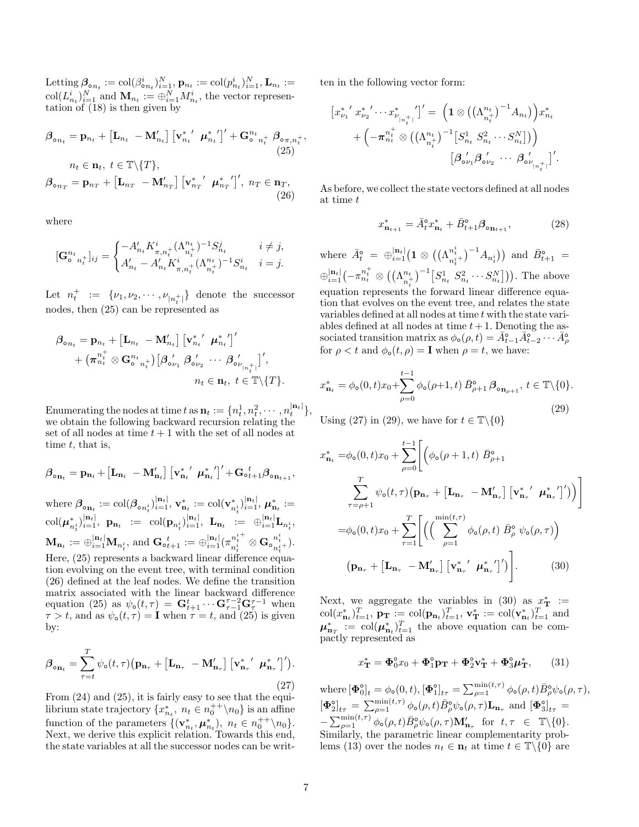Letting  $\beta_{\text{o}_{n_t}} := \text{col}(\beta_{\text{o}_{n_t}}^i)_{i=1}^N$ ,  $\mathbf{p}_{n_t} := \text{col}(p_{n_t}^i)_{i=1}^N$ ,  $\mathbf{L}_{n_t} :=$  $\text{col}(L_{n_t}^i)_{i=1}^N$  and  $\mathbf{M}_{n_t} := \bigoplus_{i=1}^N M_{n_t}^i$ , the vector representation of (18) is then given by

$$
\beta_{o_{n_t}} = \mathbf{p}_{n_t} + \begin{bmatrix} \mathbf{L}_{n_t} & -\mathbf{M}'_{n_t} \end{bmatrix} \begin{bmatrix} \mathbf{v}_{n_t}^{*'} & \boldsymbol{\mu}_{n_t}^{*'} \end{bmatrix}' + \mathbf{G}_o^{n_t}{}_{n_t^+} \beta_{o_{\pi,n_t^+}} \tag{25}
$$
\n
$$
n_t \in \mathbf{n}_t, \ t \in \mathbb{T} \setminus \{T\},
$$
\n
$$
\beta_{o_{n_T}} = \mathbf{p}_{n_T} + \begin{bmatrix} \mathbf{L}_{n_T} & -\mathbf{M}'_{n_T} \end{bmatrix} \begin{bmatrix} \mathbf{v}_{n_T}^{*'} & \boldsymbol{\mu}_{n_T}^{*'} \end{bmatrix}', \ n_T \in \mathbf{n}_T,
$$
\n(26)

where

$$
[\mathbf{G}_{\text{o}}^{n_t}{}_{n_t^+}]_{ij} = \begin{cases} -A'_{n_t}K^i_{\pi,n_t^+}(\Lambda^{n_t}_{n_t^+})^{-1}S^j_{n_t} & i \neq j, \\ A'_{n_t} - A'_{n_t}K^i_{\pi,n_t^+}(\Lambda^{n_t}_{n_t^+})^{-1}S^i_{n_t} & i = j. \end{cases}
$$

Let  $n_t^+ := \{ \nu_1, \nu_2, \cdots, \nu_{|n_t^+|} \}$  denote the successor nodes, then (25) can be represented as

$$
\beta_{\textbf{o}_{n_t}} = \mathbf{p}_{n_t} + \left[\mathbf{L}_{n_t} - \mathbf{M}'_{n_t}\right] \left[\mathbf{v}_{n_t}^{*} \n\quad \boldsymbol{\mu}_{n_t}^{*} \right]'
$$
\n
$$
+ \left(\pi_{n_t}^{n_t^+} \otimes \mathbf{G}_{\textbf{o}_{n_t}^+}^{n_t}\right) \left[\beta_{\textbf{o}_{\nu_1}} \n\beta_{\textbf{o}_{\nu_2}}' \n\cdots \beta_{\textbf{o}_{\nu_{|n_t^+|}}'} \right]',
$$
\n
$$
n_t \in \mathbf{n}_t, \ t \in \mathbb{T} \setminus \{T\}.
$$

Enumerating the nodes at time  $t$  as  $\mathbf{n}_t := \{n_t^1, n_t^2, \cdots, n_t^{|\mathbf{n}_t|}\},\$ we obtain the following backward recursion relating the set of all nodes at time  $t + 1$  with the set of all nodes at time  $t$ , that is,

$$
\beta_{\text{on}_t} = \mathbf{p}_{\text{n}_t} + \begin{bmatrix} \mathbf{L}_{\text{n}_t} & -\mathbf{M}'_{\text{n}_t} \end{bmatrix} \begin{bmatrix} \mathbf{v}_{\text{n}_t}^* & \boldsymbol{\mu}_{\text{n}_t}^* \end{bmatrix}' + \mathbf{G}_{\text{o}_{t+1}} \beta_{\text{on}_{t+1}},
$$
\nwhere  $\beta_{\text{o}_{\text{n}_t}} := \text{col}(\beta_{\text{o}_{\text{n}_t}^i})_{i=1}^{|\mathbf{n}_t|}, \mathbf{v}_{\text{n}_t}^* := \text{col}(\mathbf{v}_{\text{n}_t}^*)_{i=1}^{|\mathbf{n}_t|}, \boldsymbol{\mu}_{\text{n}_t}^* := \text{col}(\boldsymbol{\mu}_{\text{n}_t}^*)_{i=1}^{|\mathbf{n}_t|}, \mathbf{p}_{\text{n}_t} := \text{col}(\mathbf{p}_{\text{n}_t}^*)_{i=1}^{|\mathbf{n}_t|}, \mathbf{L}_{\text{n}_t} := \bigoplus_{i=1}^{|\mathbf{n}_t|} \mathbf{L}_{\text{n}_t^i},$ \n
$$
\mathbf{M}_{\text{n}_t} := \bigoplus_{i=1}^{|\mathbf{n}_t|} \mathbf{M}_{\text{n}_t^i}, \text{ and } \mathbf{G}_{\text{o}_{t+1}^t}^{*} := \bigoplus_{i=1}^{|\mathbf{n}_t|} (\pi_{\text{n}_t}^{n_t^i} \otimes \mathbf{G}_{\text{o}_{\text{n}_t}^i}^{n_t^i}).
$$
\nHere, (25) represents a backward linear difference equation  
\n(26) defined at the leaf nodes. We define the transition matrix associated with the linear backward difference equation (25) as  $\psi_{\text{o}}(t, \tau) = \mathbf{G}_{t+1}^t \cdots \mathbf{G}_{\tau-1}^{\tau-2} \mathbf{G}_{\tau}^{\tau-1}$  when  $\tau > t$ , and as  $\psi_{\text{o}}(t, \tau) = \mathbf{I}$  when  $\tau = t$ , and (25) is given by:

$$
\boldsymbol{\beta}_{\mathbf{on}_t} = \sum_{\tau=t}^T \psi_{\mathbf{o}}(t,\tau) \left( \mathbf{p}_{\mathbf{n}_{\tau}} + \begin{bmatrix} \mathbf{L}_{\mathbf{n}_{\tau}} & -\mathbf{M}'_{\mathbf{n}_{\tau}} \end{bmatrix} \begin{bmatrix} \mathbf{v}_{\mathbf{n}_{\tau}}^* & \boldsymbol{\mu}_{\mathbf{n}_{\tau}}^* \end{bmatrix}' \right).
$$
\n(27)

From (24) and (25), it is fairly easy to see that the equilibrium state trajectory  $\{x_{n_t}^*, n_t \in n_0^{++} \backslash n_0\}$  is an affine function of the parameters  $\{(\mathbf{v}_{n_t}^*, \boldsymbol{\mu}_{n_t}^*)$ ,  $n_t \in n_0^{++} \setminus n_0\}.$ Next, we derive this explicit relation. Towards this end, the state variables at all the successor nodes can be written in the following vector form:

,

$$
\begin{aligned}\n\left[x_{\nu_1}^{\ast} \, 'x_{\nu_2}^{\ast}{}' \cdots x_{\nu_{|n_t^+|}}^{\ast}{}' \right]' &= \left(1 \otimes \left( \left(\Lambda_{n_t^+}^{n_t^+} \right)^{-1} A_{n_t} \right) \right) x_{n_t}^{\ast} \\
&\quad + \left(-\pi_{n_t^+}^{n_t^+} \otimes \left( \left(\Lambda_{n_t^+}^{n_t^+} \right)^{-1} \left[ S_{n_t}^1 S_{n_t}^2 \cdots S_{n_t}^N \right] \right) \right) \\
&\quad \left[\beta_{\nu_1}{}' \beta_{\nu_2}{}' \cdots \beta_{\nu_{|n_t^+|}}{}' \right]'.\n\end{aligned}
$$

As before, we collect the state vectors defined at all nodes at time t

$$
x_{\mathbf{n}_{t+1}}^* = \bar{A}_t^{\mathbf{e}} x_{\mathbf{n}_t}^* + \bar{B}_{t+1}^{\mathbf{e}} \beta_{\mathbf{e}_{\mathbf{n}_{t+1}}},\tag{28}
$$

where  $\bar{A}_t^{\circ} = \bigoplus_{i=1}^{\lfloor n_t \rfloor} (1 \otimes ((\Lambda_{n_t^{i+}}^{n_t^{i+}})^{-1} A_{n_t^{i}}))$  and  $\bar{B}_{t+1}^{\circ} =$  $\oplus_{i=1}^{|\mathbf{n}_t|} (-\pi^{n_t^+}_{n_t}\otimes\big(\big(\Lambda^{n_t}_{n_t^+}$  $\binom{n_t}{n_t}^{-1} \left[ S_{n_t}^1 \ S_{n_t}^2 \cdots S_{n_t}^N \right]$ ). The above equation represents the forward linear difference equation that evolves on the event tree, and relates the state variables defined at all nodes at time t with the state variables defined at all nodes at time  $t+1$ . Denoting the associated transition matrix as  $\phi_{\text{o}}(\rho, t) = \bar{A}^{\text{o}}_{t-1} \bar{A}^{\text{o}}_{t-2} \cdots \bar{A}^{\text{o}}_{\rho}$ for  $\rho < t$  and  $\phi_{\text{o}}(t, \rho) = \mathbf{I}$  when  $\rho = t$ , we have:

$$
x_{\mathbf{n}_t}^* = \phi_{\mathbf{o}}(0, t)x_0 + \sum_{\rho=0}^{t-1} \phi_{\mathbf{o}}(\rho+1, t) \bar{B}_{\rho+1}^{\mathbf{o}} \beta_{\mathbf{o}_{\mathbf{n}_{\rho+1}}}, t \in \mathbb{T} \setminus \{0\}. \tag{29}
$$

Using (27) in (29), we have for  $t \in \mathbb{T} \backslash \{0\}$ 

$$
x_{\mathbf{n}_t}^* = \phi_o(0, t)x_0 + \sum_{\rho=0}^{t-1} \left[ \left( \phi_o(\rho+1, t) \bar{B}_{\rho+1}^o \right. \right.\left. \sum_{\tau=\rho+1}^T \psi_o(t, \tau) \left( \mathbf{p}_{\mathbf{n}_\tau} + \left[ \mathbf{L}_{\mathbf{n}_\tau} - \mathbf{M}_{\mathbf{n}_\tau}^{\prime} \right] \left[ \mathbf{v}_{\mathbf{n}_\tau}^{* \prime} \boldsymbol{\mu}_{\mathbf{n}_\tau}^{* \prime} \right]' \right) \right] = \phi_o(0, t)x_0 + \sum_{\tau=1}^T \left[ \left( \left( \sum_{\rho=1}^{\min(t, \tau)} \phi_o(\rho, t) \bar{B}_{\rho}^o \psi_o(\rho, \tau) \right) \right. \right.\left. \left( \mathbf{p}_{\mathbf{n}_\tau} + \left[ \mathbf{L}_{\mathbf{n}_\tau} - \mathbf{M}_{\mathbf{n}_\tau}^{\prime} \right] \left[ \mathbf{v}_{\mathbf{n}_\tau}^{* \prime} \boldsymbol{\mu}_{\mathbf{n}_\tau}^{* \prime} \right]' \right) \right]. \tag{30}
$$

Next, we aggregate the variables in (30) as  $x^*$  :=  $\text{col}(x_{\mathbf{n}_t}^*)_{t=1}^T$ ,  $\mathbf{p_T} := \text{col}(\mathbf{p}_{\mathbf{n}_t})_{t=1}^T$ ,  $\mathbf{v}_{\mathbf{T}}^* := \text{col}(\mathbf{v}_{\mathbf{n}_t}^*)_{t=1}^T$  and  $\mu_{\mathbf{n}_T}^* := \text{col}(\mu_{\mathbf{n}_t}^*)_{t=1}^T$  the above equation can be compactly represented as

$$
x_{\mathbf{T}}^* = \mathbf{\Phi}_0^{\circ} x_0 + \mathbf{\Phi}_1^{\circ} \mathbf{p}_{\mathbf{T}} + \mathbf{\Phi}_2^{\circ} \mathbf{v}_{\mathbf{T}}^* + \mathbf{\Phi}_3^{\circ} \boldsymbol{\mu}_{\mathbf{T}}^*,
$$
 (31)

where  $[\Phi_0^{\circ}]$  ${}_{0}^{\circ}]_{t} = \phi_{\circ}(0, t), [\Phi_{1}^{\circ}]$  $\mathbb{P}^{\mathsf{d}}_{1}\big|_{t\tau} = \sum_{\rho=1}^{\min(t,\tau)} \phi_{\mathsf{o}}(\rho,t) \bar{B}^{\mathsf{o}}_{\rho} \psi_{\mathsf{o}}(\rho,\tau),$  $[\mathbf{\Phi}_2^{\sf o}$  $\Phi_2^{\circ}$ <sub>t</sub> $_{\tau} = \sum_{\rho=1}^{\min(t,\tau)} \phi_{\bullet}(\rho,t) \bar{B}_{\rho}^{\circ} \psi_{\bullet}(\rho,\tau) \mathbf{L}_{\mathbf{n}_{\tau}}$  and  $[\mathbf{\Phi}_3^{\circ}]$  $_{3}^{\circ}]_{t\tau}=$  $-\sum_{\rho=1}^{\min(t,\tau)}\phi_{\mathbf{o}}(\rho,t)\bar{B}_{\rho}^{\mathbf{o}}\psi_{\mathbf{o}}(\rho,\tau)\mathbf{M}'_{\mathbf{n}_{\tau}} \ \ \text{for}\ \ t,\tau \ \ \in \ \ \mathbb{T}\setminus\{0\}.$ Similarly, the parametric linear complementarity problems (13) over the nodes  $n_t \in \mathbf{n}_t$  at time  $t \in \mathbb{T} \setminus \{0\}$  are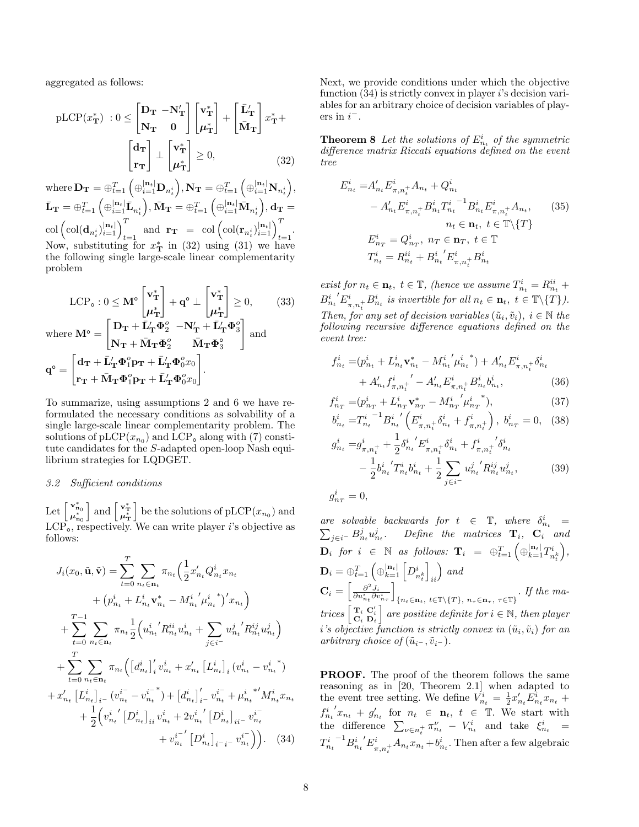aggregated as follows:

$$
\text{pLCP}(x^*_{\mathbf{T}}) : 0 \leq \begin{bmatrix} \mathbf{D_T} & -\mathbf{N_T'} \\ \mathbf{N_T} & \mathbf{0} \end{bmatrix} \begin{bmatrix} \mathbf{v^*_{T}} \\ \boldsymbol{\mu^*_{T}} \end{bmatrix} + \begin{bmatrix} \bar{\mathbf{L_T}} \\ \bar{\mathbf{M_T}} \end{bmatrix} x^*_{\mathbf{T}} + \begin{bmatrix} \mathbf{d_T} \\ \mathbf{r_T} \end{bmatrix} \perp \begin{bmatrix} \mathbf{v^*_{T}} \\ \boldsymbol{\mu^*_{T}} \end{bmatrix} \geq 0,
$$
 (32)

 $\text{where } \mathbf{D_T} = \oplus_{t=1}^T \left( \oplus_{i=1}^{\mid \mathbf{n}_t \mid} \mathbf{D}_{n_t^i} \right), \mathbf{N_T} = \oplus_{t=1}^T \left( \oplus_{i=1}^{\mid \mathbf{n}_t \mid} \mathbf{N}_{n_t^i} \right),$  $\bar{\mathbf{L}}_{\mathbf{T}}=\oplus_{t=1}^{T}\Big(\oplus_{i=1}^{|\mathbf{n}_t|}\bar{\mathbf{L}}_{n_t^i}\Big), \bar{\mathbf{M}}_{\mathbf{T}}=\oplus_{t=1}^{T}\Big(\oplus_{i=1}^{|\mathbf{n}_t|}\bar{\mathbf{M}}_{n_t^i}\Big), \mathbf{d}_{\mathbf{T}}=$  $\text{col}\left(\text{col}(\mathbf{d}_{n_t^i})_{i=1}^{|\mathbf{n}_t|}\right)_{t=1}^T \text{ and } \mathbf{r_T} = \text{col}\left(\text{col}(\mathbf{r}_{n_t^i})_{i=1}^{|\mathbf{n}_t|}\right)_{t=1}^T.$ Now, substituting for  $x^*$  in (32) using (31) we have the following single large-scale linear complementarity problem

$$
\text{LCP}_\circ: 0 \leq \mathbf{M}^\circ \begin{bmatrix} \mathbf{v_T^*} \\ \boldsymbol{\mu_T^*} \end{bmatrix} + \mathbf{q}^\circ \perp \begin{bmatrix} \mathbf{v_T^*} \\ \boldsymbol{\mu_T^*} \end{bmatrix} \geq 0, \qquad (33)
$$
\n
$$
\text{where } \mathbf{M}^\circ = \begin{bmatrix} \mathbf{D_T} + \bar{\mathbf{L}_T'} \boldsymbol{\Phi}_2^o & -\mathbf{N_T'} + \bar{\mathbf{L}_T'} \boldsymbol{\Phi}_3^o \\ \mathbf{N_T} + \bar{\mathbf{M}_T} \boldsymbol{\Phi}_2^o & \bar{\mathbf{M}_T} \boldsymbol{\Phi}_3^o \end{bmatrix} \text{ and }
$$
\n
$$
\mathbf{q}^\circ = \begin{bmatrix} \mathbf{d_T} + \bar{\mathbf{L}_T'} \boldsymbol{\Phi}_1^o \mathbf{p_T} + \bar{\mathbf{L}_T'} \boldsymbol{\Phi}_0^o x_0 \\ \mathbf{r_T} + \bar{\mathbf{M}_T} \boldsymbol{\Phi}_1^o \mathbf{p_T} + \bar{\mathbf{L}_T'} \boldsymbol{\Phi}_0^o x_0 \end{bmatrix}.
$$

To summarize, using assumptions 2 and 6 we have reformulated the necessary conditions as solvability of a single large-scale linear complementarity problem. The solutions of  $pLCP(x_{n_0})$  and  $LCP_o$  along with (7) constitute candidates for the S-adapted open-loop Nash equilibrium strategies for LQDGET.

#### 3.2 Sufficient conditions

Let  $\begin{bmatrix} \mathbf{v}_{\mathbf{n}_0}^* \\ \boldsymbol{\mu}_{\mathbf{n}_0}^* \end{bmatrix}$ and  $\begin{bmatrix} \mathbf{v}_\mathbf{T}^* \\ \mu_\mathbf{T}^* \end{bmatrix}$  be the solutions of pLCP( $x_{n_0}$ ) and  $LCP<sub>o</sub>$ , respectively. We can write player *i*'s objective as follows:

$$
J_i(x_0, \tilde{\mathbf{u}}, \tilde{\mathbf{v}}) = \sum_{t=0}^T \sum_{n_t \in \mathbf{n}_t} \pi_{n_t} \Big( \frac{1}{2} x'_{n_t} Q_{n_t}^i x_{n_t} + (p_{n_t}^i + L_{n_t}^i \mathbf{v}_{n_t}^* - M_{n_t}^i' \mu_{n_t}^i)^t x_{n_t} \Big)
$$
  
+ 
$$
\sum_{t=0}^{T-1} \sum_{n_t \in \mathbf{n}_t} \pi_{n_t} \frac{1}{2} \Big( u_{n_t}^{i'} R_{n_t}^{i i} u_{n_t}^{i} + \sum_{j \in i^-} u_{n_t}^{j'} R_{n_t}^{i j} u_{n_t}^{j} \Big)
$$
  
+ 
$$
\sum_{t=0}^T \sum_{n_t \in \mathbf{n}_t} \pi_{n_t} \Big( \big[ d_{n_t}^{i} \big]_i' v_{n_t}^{i} + x'_{n_t} \big[ L_{n_t}^{i} \big]_i (v_{n_t}^{i} - v_{n_t}^{i})
$$
  
+ 
$$
x'_{n_t} \big[ L_{n_t}^{i} \big]_{i} - (v_{n_t}^{i} - v_{n_t}^{i^{-*}}) + \big[ d_{n_t}^{i} \big]_{i}^{i} - v_{n_t}^{i^{-}} + \mu_{n_t}^{i} M_{n_t}^{i} x_{n_t}
$$
  
+ 
$$
\frac{1}{2} \Big( v_{n_t}^{i'} \big[ D_{n_t}^{i} \big]_{ii} v_{n_t}^{i} + 2v_{n_t}^{i'} \big[ D_{n_t}^{i} \big]_{ii} - v_{n_t}^{i^{-}} + v_{n_t}^{i^{-}} \big[ D_{n_t}^{i} \big]_{i-i} - v_{n_t}^{i^{-}} \Big) \Big). \quad (34)
$$

Next, we provide conditions under which the objective function  $(34)$  is strictly convex in player i's decision variables for an arbitrary choice of decision variables of play $ers in i<sup>-</sup>.$ 

**Theorem 8** Let the solutions of  $E_{n_t}^i$  of the symmetric difference matrix Riccati equations defined on the event tree

$$
E_{n_t}^i = A'_{n_t} E_{\pi, n_t^+}^i A_{n_t} + Q_{n_t}^i
$$
  
\n
$$
- A'_{n_t} E_{\pi, n_t^+}^i B_{n_t}^i T_{n_t}^{i-1} B_{n_t}^i E_{\pi, n_t^+}^i A_{n_t},
$$
  
\n
$$
n_t \in \mathbf{n}_t, \ t \in \mathbb{T} \setminus \{T\}
$$
  
\n
$$
E_{n_T}^i = Q_{n_T}^i, \ n_T \in \mathbf{n}_T, \ t \in \mathbb{T}
$$
  
\n
$$
T_{n_t}^i = R_{n_t}^{ii} + B_{n_t}^{i'} E_{\pi, n_t^+}^i B_{n_t}^i
$$
 (35)

exist for  $n_t \in \mathbf{n}_t$ ,  $t \in \mathbb{T}$ , (hence we assume  $T_{n_t}^i = R_{n_t}^{ii} +$  $B^i_{n_t}$  $'\,E^i_{\pi,n_t^+}B^i_{n_t}$  is invertible for all  $n_t \in \mathbf{n}_t, t \in \mathbb{T}\setminus\{T\}$ . Then, for any set of decision variables  $(\tilde{u}_i, \tilde{v}_i), i \in \mathbb{N}$  the following recursive difference equations defined on the event tree:

$$
f_{n_t}^i = (p_{n_t}^i + L_{n_t}^i \mathbf{v}_{n_t}^* - M_{n_t}^{i'} \mu_{n_t}^{i*}) + A'_{n_t} E_{\pi, n_t}^i \delta_{n_t}^i
$$
  
+  $A'_{n_t} f_{\pi, n_t}^i - A'_{n_t} E_{\pi, n_t}^i B_{n_t}^i \delta_{n_t}^i,$  (36)

$$
f_{n_T}^i = (p_{n_T}^i + L_{n_T}^i \mathbf{v}_{n_T}^* - M_{n_T}^i / \mu_{n_T}^i^*),
$$
\n
$$
p_{n_T}^i = \frac{1}{n} \mathbf{p}_i / (\mathbf{p}_i^i - \mathbf{s}_i^i + \mathbf{q}_i^i)
$$
\n
$$
p_{n_T}^i = (p_{n_T}^i - \mathbf{p}_i^i) / (\mathbf{p}_i^i - \mathbf{s}_i^i + \mathbf{q}_i^i)
$$
\n
$$
p_{n_T}^i = (p_{n_T}^i - \mathbf{q}_i^i) / (\mathbf{p}_i^i - \mathbf{q}_i^i + \mathbf{q}_i^i)
$$
\n
$$
(37)
$$

$$
b_{n_t}^i = T_{n_t}^{i-1} B_{n_t}^{i'} \left( E_{\pi, n_t^+}^i \delta_{n_t}^i + f_{\pi, n_t^+}^i \right), \ b_{n_T}^i = 0, \tag{38}
$$

$$
g_{n_t}^i = g_{\pi, n_t^+}^i + \frac{1}{2} \delta_{n_t}^{i'} E_{\pi, n_t^+}^i \delta_{n_t}^i + f_{\pi, n_t^+}^i' \delta_{n_t}^i
$$

$$
- \frac{1}{2} b_{n_t}^{i'} T_{n_t}^i b_{n_t}^i + \frac{1}{2} \sum_{j \in i^-} u_{n_t}^{j'} R_{n_t}^{ij} u_{n_t}^j, \tag{39}
$$

$$
S_i^i = 0
$$

$$
g_{n_T}^i = 0,
$$

are solvable backwards for  $t \in \mathbb{T}$ , where  $\delta_{n_t}^i = \sum_{j \in i^-} B_{n_t}^j u_{n_t}^j$ . Define the matrices  $\mathbf{T}_i$ ,  $\mathbf{C}_i$  and  $\mathbf{D}_i$  for  $i \in \mathbb{N}$  as follows:  $\mathbf{T}_i = \bigoplus_{t=1}^T \left( \bigoplus_{k=1}^{\vert \mathbf{n}_t \vert} T^i_{n_t^k} \right),$  $\mathbf{D}_i = \bigoplus_{t=1}^T \left( \bigoplus_{k=1}^{|{\mathbf{n}}_t|} \left[D_{n_t^k}^i\right]_{ii} \right) \ and$ i ii  $\big)$  and  $\mathbf{C}_i = \left[\frac{\partial^2 J_i}{\partial u^i_{n_t}\partial v^i_{n_\tau}}\right]$ i  ${n_t \in \mathbf{n}_t, t \in \mathbb{T} \setminus \{T\}, n_{\tau} \in \mathbf{n}_{\tau}, \tau \in \mathbb{T}}$ . If the matrices  $\begin{bmatrix} \mathbf{T}_i & \mathbf{C}'_i \\ \mathbf{C}_i & \mathbf{D}_i \end{bmatrix}$  are positive definite for  $i \in \mathbb{N}$ , then player  $i$ 's objective function is strictly convex in  $(\tilde{u}_i, \tilde{v}_i)$  for an arbitrary choice of  $(\tilde{u}_{i-}, \tilde{v}_{i-})$ .

PROOF. The proof of the theorem follows the same reasoning as in [20, Theorem 2.1] when adapted to the event tree setting. We define  $V^i_{n_t} = \frac{1}{2} x'_{n_t} E^i_{n_t} x_{n_t} +$  $f_{n_t}^i$  $x_{n_t} + g'_{n_t}$  for  $n_t \in \mathbf{n}_t$ ,  $t \in \mathbb{T}$ . We start with the difference  $\sum_{\nu \in n_t^+} \pi_{n_t}^{\nu} - V_{n_t}^i$  and take  $\xi_{n_t}^i$  =  $T^i_{n_t}$  $^{-1}B_{n_t}^i$  $'E^i_{\pi,n_t^+}A_{n_t}x_{n_t}+b^i_{n_t}$ . Then after a few algebraic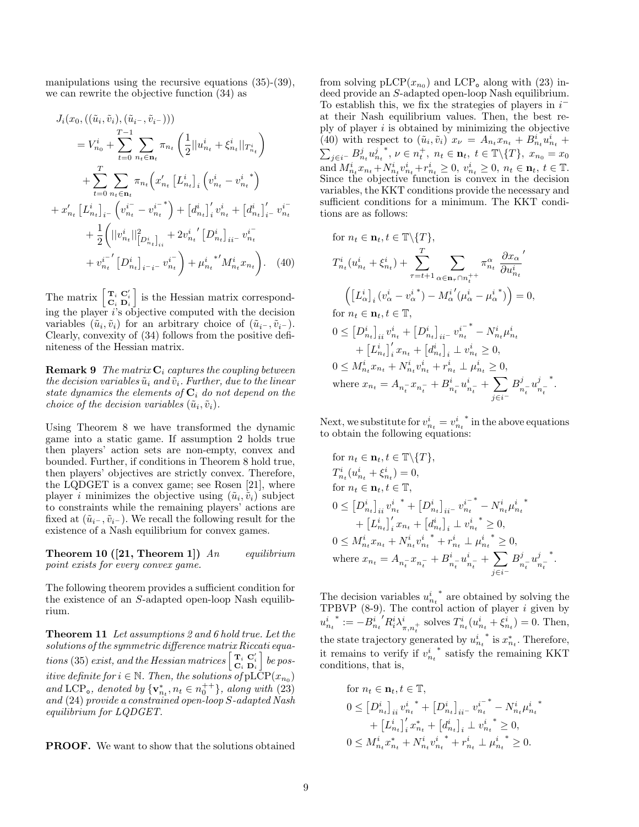manipulations using the recursive equations (35)-(39), we can rewrite the objective function (34) as

$$
J_{i}(x_{0}, ((\tilde{u}_{i}, \tilde{v}_{i}), (\tilde{u}_{i-}, \tilde{v}_{i-})))
$$
\n
$$
= V_{n_{0}}^{i} + \sum_{t=0}^{T-1} \sum_{n_{t} \in \mathbf{n}_{t}} \pi_{n_{t}} \left(\frac{1}{2}||u_{n_{t}}^{i} + \xi_{n_{t}}^{i}||_{T_{n_{t}}^{i}}\right)
$$
\n
$$
+ \sum_{t=0}^{T} \sum_{n_{t} \in \mathbf{n}_{t}} \pi_{n_{t}} \left(x_{n_{t}}^{\prime}\left[L_{n_{t}}^{i}\right]_{i}\left(v_{n_{t}}^{i} - v_{n_{t}}^{i}\right)\right)
$$
\n
$$
+ x_{n_{t}}^{\prime}\left[L_{n_{t}}^{i}\right]_{i} - \left(v_{n_{t}}^{i} - v_{n_{t}}^{i}\right) + \left[d_{n_{t}}^{i}\right]_{i}^{\prime} v_{n_{t}}^{i} + \left[d_{n_{t}}^{i}\right]_{i}^{\prime} - v_{n_{t}}^{i-}
$$
\n
$$
+ \frac{1}{2} \left(||v_{n_{t}}^{i}||_{[D_{n_{t}}^{i}]_{i}}^{2} + 2v_{n_{t}}^{i}^{i}\left[D_{n_{t}}^{i}\right]_{ii} - v_{n_{t}}^{i-}
$$
\n
$$
+ v_{n_{t}}^{i}^{i} \left[D_{n_{t}}^{i}\right]_{i-i}^{2} - v_{n_{t}}^{i}\right) + \mu_{n_{t}}^{i} \left(M_{n_{t}}^{i} x_{n_{t}}\right). \quad (40)
$$

The matrix  $\begin{bmatrix} \mathbf{T}_i & \mathbf{C}'_i \\ \mathbf{C}_i & \mathbf{D}_i \end{bmatrix}$  is the Hessian matrix corresponding the player i's objective computed with the decision variables  $(\tilde{u}_i, \tilde{v}_i)$  for an arbitrary choice of  $(\tilde{u}_{i^-}, \tilde{v}_{i^-})$ . Clearly, convexity of (34) follows from the positive definiteness of the Hessian matrix.

**Remark 9** The matrix  $C_i$  captures the coupling between the decision variables  $\tilde{u}_i$  and  $\tilde{v}_i$ . Further, due to the linear state dynamics the elements of  $\mathbf{C}_i$  do not depend on the choice of the decision variables  $(\tilde{u}_i, \tilde{v}_i)$ .

Using Theorem 8 we have transformed the dynamic game into a static game. If assumption 2 holds true then players' action sets are non-empty, convex and bounded. Further, if conditions in Theorem 8 hold true, then players' objectives are strictly convex. Therefore, the LQDGET is a convex game; see Rosen [21], where player *i* minimizes the objective using  $(\tilde{u}_i, \tilde{v}_i)$  subject to constraints while the remaining players' actions are fixed at  $(\tilde{u}_{i-}, \tilde{v}_{i-})$ . We recall the following result for the existence of a Nash equilibrium for convex games.

**Theorem 10 ([21, Theorem 1])**  $An$  equilibrium point exists for every convex game.

The following theorem provides a sufficient condition for the existence of an S-adapted open-loop Nash equilibrium.

Theorem 11 Let assumptions 2 and 6 hold true. Let the solutions of the symmetric difference matrix Riccati equa $tions~(35)~exist, and~the~Hessian~matrices \begin{bmatrix} \mathbf{T}_i & \mathbf{C}'_i \ \mathbf{C}_i & \mathbf{D}_i \end{bmatrix}$  be positive definite for  $i \in \mathbb{N}$ . Then, the solutions of  $p\overrightarrow{LCP}(x_{n_0})$ and LCP<sub>o</sub>, denoted by  $\{v_{n_t}^*, n_t \in n_0^{++}\}$ , along with (23) and (24) provide a constrained open-loop S-adapted Nash equilibrium for LQDGET.

PROOF. We want to show that the solutions obtained

from solving  $pLCP(x_{n_0})$  and  $LCP_o$  along with (23) indeed provide an S-adapted open-loop Nash equilibrium. To establish this, we fix the strategies of players in  $i^$ at their Nash equilibrium values. Then, the best reply of player  $i$  is obtained by minimizing the objective (40) with respect to  $(\tilde{u}_i, \tilde{v}_i)$   $x_{\nu} = A_{n_t} x_{n_t} + B_{n_t}^i u_{n_t}^i +$  $\sum_{j\in i^-} B_{n_t}^j u_{n_t}^j$ \*,  $\nu \in n_t^+, n_t \in \mathbf{n}_t, t \in \mathbb{T} \setminus \{T\}, x_{n_0} = x_0$ and  $M_{n_t}^i x_{n_t} + N_{n_t}^i v_{n_t}^i + r_{n_t}^i \ge 0, v_{n_t}^i \ge 0, n_t \in \mathbf{n}_t, t \in \mathbb{T}$ . Since the objective function is convex in the decision variables, the KKT conditions provide the necessary and sufficient conditions for a minimum. The KKT conditions are as follows:

for 
$$
n_t \in \mathbf{n}_t, t \in \mathbb{T} \setminus \{T\},
$$
  
\n
$$
T_{n_t}^i(u_{n_t}^i + \xi_{n_t}^i) + \sum_{\tau=t+1}^T \sum_{\alpha \in \mathbf{n}_\tau \cap n_t^{i+}} \pi_{n_t}^\alpha \frac{\partial x_\alpha'}{\partial u_{n_t}^i}
$$
\n
$$
\left( \left[L_{\alpha}^i\right]_i (v_{\alpha}^i - v_{\alpha}^{i*}) - M_{\alpha}^{i'}(\mu_{\alpha}^i - \mu_{\alpha}^{i*}) \right) = 0,
$$
\nfor  $n_t \in \mathbf{n}_t, t \in \mathbb{T},$   
\n
$$
0 \leq \left[D_{n_t}^i\right]_{ii} v_{n_t}^i + \left[D_{n_t}^i\right]_{ii-} v_{n_t}^{i-*} - N_{n_t}^i \mu_{n_t}^i
$$
\n
$$
+ \left[L_{n_t}^i\right]_i' x_{n_t} + \left[d_{n_t}^i\right]_i \perp v_{n_t}^i \geq 0,
$$
\n
$$
0 \leq M_{n_t}^i x_{n_t} + N_{n_t}^i v_{n_t}^i + r_{n_t}^i \perp \mu_{n_t}^i \geq 0,
$$
\nwhere  $x_{n_t} = A_{n_t}^- x_{n_t}^- + B_{n_t}^i u_{n_t}^i + \sum_{j \in i^-} B_{n_t}^j u_{n_t}^j^*.$ 

Next, we substitute for  $v_{n_t}^i = v_{n_t}^i$ ∗ in the above equations to obtain the following equations:

for 
$$
n_t \in \mathbf{n}_t, t \in \mathbb{T} \backslash \{T\},
$$
  
\n $T_{n_t}^i(u_{n_t}^i + \xi_{n_t}^i) = 0,$   
\nfor  $n_t \in \mathbf{n}_t, t \in \mathbb{T},$   
\n $0 \le [D_{n_t}^i]_{ii} v_{n_t}^{i,*} + [D_{n_t}^i]_{ii} - v_{n_t}^{i,*} - N_{n_t}^i \mu_{n_t}^{i,*} + [L_{n_t}^i]_i' x_{n_t} + [d_{n_t}^i]_i \perp v_{n_t}^{i,*} \ge 0,$   
\n $0 \le M_{n_t}^i x_{n_t} + N_{n_t}^i v_{n_t}^{i,*} + r_{n_t}^i \perp \mu_{n_t}^{i,*} \ge 0,$   
\nwhere  $x_{n_t} = A_{n_t^-} x_{n_t^-} + B_{n_t}^i u_{n_t}^i + \sum_{j \in i^-} B_{n_t^-}^j u_{n_t}^j.$ 

The decision variables  $u_{n_t}^i$ ∗ are obtained by solving the TPBVP  $(8-9)$ . The control action of player *i* given by  $u^i_{n_t}$  $^* := -B^i_{n_t}$  $R_i^i \lambda_\tau^i$  $t_{\pi,n_t^{+}}^{i}$  solves  $T_{n_t}^{i}(u_{n_t}^{i} + \xi_{n_t}^{i}) = 0$ . Then, the state trajectory generated by  $u_{n_t}^i$ \* is  $x_{n_t}^*$ . Therefore, it remains to verify if  $v_{n_t}^i$ ∗ satisfy the remaining KKT conditions, that is,

for 
$$
n_t \in \mathbf{n}_t, t \in \mathbb{T}
$$
,  
\n
$$
0 \leq [D_{n_t}^i]_{ii} v_{n_t}^{i^*} + [D_{n_t}^i]_{ii^-} v_{n_t}^{i^-} - N_{n_t}^i \mu_{n_t}^{i^*} + [L_{n_t}^i]_i^i x_{n_t}^* + [d_{n_t}^i]_i \perp v_{n_t}^i \geq 0,
$$
\n
$$
0 \leq M_{n_t}^i x_{n_t}^* + N_{n_t}^i v_{n_t}^{i^*} + r_{n_t}^i \perp \mu_{n_t}^{i^*} \geq 0.
$$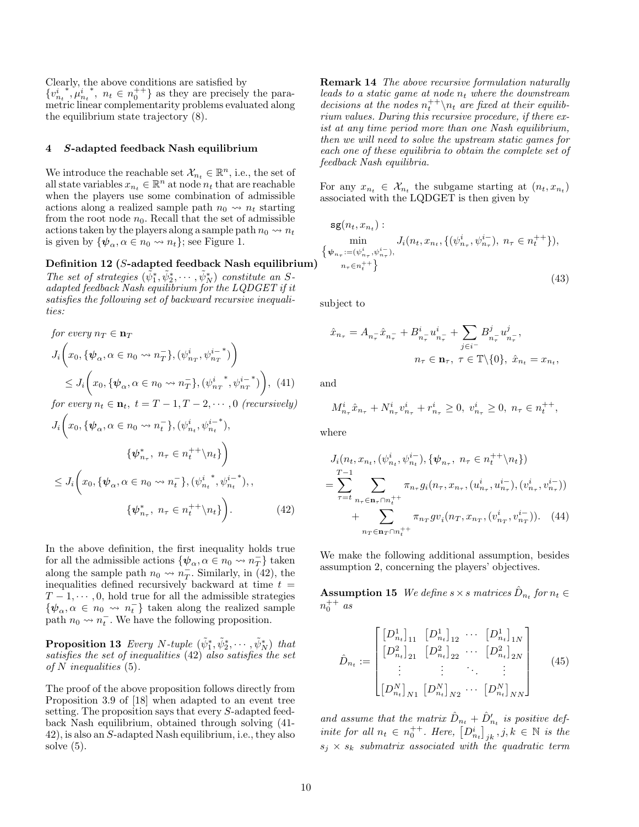Clearly, the above conditions are satisfied by  $\{v_{n_t}^i$  $\mu_{n_t}^i$ \*,  $n_t \in n_0^{++}$  as they are precisely the parametric linear complementarity problems evaluated along the equilibrium state trajectory (8).

# 4 S-adapted feedback Nash equilibrium

We introduce the reachable set  $\mathcal{X}_{n_t} \in \mathbb{R}^n$ , i.e., the set of all state variables  $x_{n_t} \in \mathbb{R}^n$  at node  $n_t$  that are reachable when the players use some combination of admissible actions along a realized sample path  $n_0 \rightarrow n_t$  starting from the root node  $n_0$ . Recall that the set of admissible actions taken by the players along a sample path  $n_0 \rightsquigarrow n_t$ is given by  $\{\psi_{\alpha}, \alpha \in n_0 \leadsto n_t\}$ ; see Figure 1.

Definition 12 (S-adapted feedback Nash equilibrium)

The set of strategies  $(\tilde{\psi}_1^*, \tilde{\psi}_2^*, \cdots, \tilde{\psi}_N^*)$  constitute an Sadapted feedback Nash equilibrium for the LQDGET if it satisfies the following set of backward recursive inequalities:

for every 
$$
n_T \in \mathbf{n}_T
$$
  
\n
$$
J_i\left(x_0, \{\psi_\alpha, \alpha \in n_0 \leadsto n_T^-\}, (\psi_{n_T}^i, \psi_{n_T}^{i-*})\right)
$$
\n
$$
\leq J_i\left(x_0, \{\psi_\alpha, \alpha \in n_0 \leadsto n_T^-\}, (\psi_{n_T}^{i-*}, \psi_{n_T}^{i-*})\right), \quad (41)
$$
\nfor every  $n \in \mathbb{N}$ ,  $t = T - 1$ ,  $T = 2$ , ..., 0, (recursionelu)

for every  $n_t \in \mathbf{n}_t$ ,  $t = T - 1, T - 2, \cdots, 0$  (recursively)

$$
J_i\left(x_0, \{\psi_\alpha, \alpha \in n_0 \leadsto n_t^-\}, (\psi_{n_t}^i, \psi_{n_t}^{i-*}),\right)
$$

$$
\{\psi_{n_\tau}^*, n_\tau \in n_t^{++} \backslash n_t\}\right)
$$

$$
\leq J_i\left(x_0, \{\psi_\alpha, \alpha \in n_0 \leadsto n_t^-\}, (\psi_{n_t}^{i,*}, \psi_{n_t}^{i-*}),\right)
$$

$$
\{\psi_{n_\tau}^*, n_\tau \in n_t^{++} \backslash n_t\}\right).
$$
(42)

In the above definition, the first inequality holds true for all the admissible actions  $\{\psi_{\alpha}, \alpha \in n_0 \leadsto n_T^-\}$  taken along the sample path  $n_0 \leadsto n_T^-$ . Similarly, in (42), the inequalities defined recursively backward at time  $t =$  $T-1, \dots, 0$ , hold true for all the admissible strategies  $\{\psi_\alpha,\alpha \in [n_0] \leadsto n_t^-\}$  taken along the realized sample path  $n_0 \leadsto n_t^-$ . We have the following proposition.

**Proposition 13** Every N-tuple  $(\tilde{\psi}_1^*, \tilde{\psi}_2^*, \cdots, \tilde{\psi}_N^*)$  that satisfies the set of inequalities (42) also satisfies the set of  $N$  inequalities  $(5)$ .

The proof of the above proposition follows directly from Proposition 3.9 of [18] when adapted to an event tree setting. The proposition says that every S-adapted feedback Nash equilibrium, obtained through solving (41- 42), is also an S-adapted Nash equilibrium, i.e., they also solve  $(5)$ .

Remark 14 The above recursive formulation naturally leads to a static game at node  $n_t$  where the downstream decisions at the nodes  $n_t^{++} \$  n\_t are fixed at their equilibrium values. During this recursive procedure, if there exist at any time period more than one Nash equilibrium, then we will need to solve the upstream static games for each one of these equilibria to obtain the complete set of feedback Nash equilibria.

For any  $x_{n_t} \in \mathcal{X}_{n_t}$  the subgame starting at  $(n_t, x_{n_t})$ associated with the LQDGET is then given by

$$
\mathbf{sg}(n_t, x_{n_t}) : \min_{\begin{subarray}{l} \text{min} \\ \psi_{n_\tau} := (\psi_{n_\tau}^i, \psi_{n_\tau}^{i-}), \end{subarray}} J_i(n_t, x_{n_t}, \{(\psi_{n_\tau}^i, \psi_{n_\tau}^{i-}), n_\tau \in n_t^{++}\}),
$$
\n
$$
(43)
$$

subject to

$$
\hat{x}_{n_{\tau}} = A_{n_{\tau}} \hat{x}_{n_{\tau}} + B_{n_{\tau}}^{i} u_{n_{\tau}}^{i} + \sum_{j \in i^{-}} B_{n_{\tau}}^{j} u_{n_{\tau}}^{j},
$$

$$
n_{\tau} \in \mathbf{n}_{\tau}, \ \tau \in \mathbb{T} \setminus \{0\}, \ \hat{x}_{n_{t}} = x_{n_{t}},
$$

and

∤

$$
M_{n_{\tau}}^{i}\hat{x}_{n_{\tau}} + N_{n_{\tau}}^{i}v_{n_{\tau}}^{i} + r_{n_{\tau}}^{i} \ge 0, v_{n_{\tau}}^{i} \ge 0, n_{\tau} \in n_{t}^{++},
$$

where

$$
J_i(n_t, x_{n_t}, (\psi_{n_t}^i, \psi_{n_t}^{i-}), \{\psi_{n_\tau}, n_\tau \in n_t^{++} \backslash n_t\})
$$
  
= 
$$
\sum_{\tau=t}^{T-1} \sum_{n_\tau \in \mathbf{n}_\tau \cap n_t^{++}} \pi_{n_\tau} g_i(n_\tau, x_{n_\tau}, (u_{n_\tau}^i, u_{n_\tau}^{i-}), (v_{n_\tau}^i, v_{n_\tau}^{i-}))
$$
  
+ 
$$
\sum_{n_T \in \mathbf{n}_T \cap n_t^{++}} \pi_{n_T} g v_i(n_T, x_{n_T}, (v_{n_T}^i, v_{n_T}^{i-})). \quad (44)
$$

We make the following additional assumption, besides assumption 2, concerning the players' objectives.

**Assumption 15** We define  $s \times s$  matrices  $\hat{D}_{n_t}$  for  $n_t \in$  $n_0^{++}$  as

$$
\hat{D}_{n_t} := \begin{bmatrix} \begin{bmatrix} D_{n_t}^1 \end{bmatrix}_{11} & \begin{bmatrix} D_{n_t}^1 \end{bmatrix}_{12} & \cdots & \begin{bmatrix} D_{n_t}^1 \end{bmatrix}_{1N} \\ \begin{bmatrix} D_{n_t}^2 \end{bmatrix}_{21} & \begin{bmatrix} D_{n_t}^2 \end{bmatrix}_{22} & \cdots & \begin{bmatrix} D_{n_t}^2 \end{bmatrix}_{2N} \\ \vdots & \vdots & \ddots & \vdots \\ \begin{bmatrix} D_{n_t}^N \end{bmatrix}_{N1} & \begin{bmatrix} D_{n_t}^N \end{bmatrix}_{N2} & \cdots & \begin{bmatrix} D_{n_t}^N \end{bmatrix}_{NN} \end{bmatrix} \end{bmatrix} \tag{45}
$$

and assume that the matrix  $\hat{D}_{n_t} + \hat{D}'_{n_t}$  is positive definite for all  $n_t \in n_0^{++}$ . Here,  $[D_{n_t}^i]_{jk}$ ,  $j, k \in \mathbb{N}$  is the  $s_j \times s_k$  submatrix associated with the quadratic term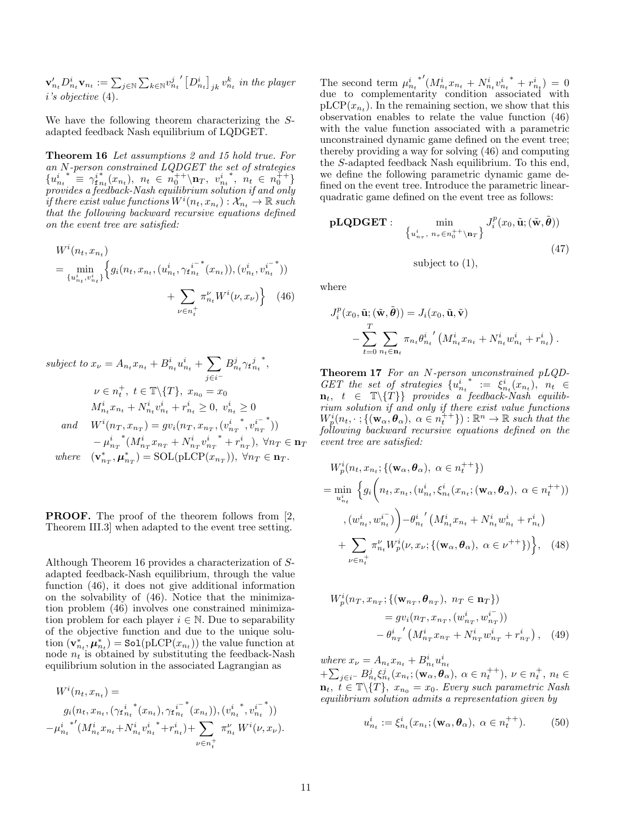$\mathbf{v}_{n_t}^\prime D_{n_t}^i \mathbf{v}_{n_t} \coloneqq \sum_{j \in \mathbb{N}} \sum_{k \in \mathbb{N}} v_{n_t}^j$  $\left.\left\langle \left[D_{n_{t}}^{i}\right] _{jk}v_{n_{t}}^{k}\right.$  in the player i's objective (4).

We have the following theorem characterizing the Sadapted feedback Nash equilibrium of LQDGET.

Theorem 16 Let assumptions 2 and 15 hold true. For an N-person constrained LQDGET the set of strategies  ${u_{n_t}}^* \equiv \gamma_{\text{f}_n}^{i^*}$  $n_t(x_{n_t}), n_t \in n_0^{++} \$  n\_T, v\_{n\_t}^i \*,  $n_t \in n_0^{++}$ } provides a feedback-Nash equilibrium solution if and only  $\widetilde{a}_i$  there exist value functions  $W^i(n_t,x_{n_t}):\mathcal{X}_{n_t}\to\mathbb{R}$  such that the following backward recursive equations defined on the event tree are satisfied:

$$
W^{i}(n_{t}, x_{n_{t}})
$$
\n
$$
= \min_{\{u_{n_{t}}^{i}, v_{n_{t}}^{i}} \left\{ g_{i}(n_{t}, x_{n_{t}}, (u_{n_{t}}^{i}, \gamma_{t_{n_{t}}^{i}}^{i^{-*}}(x_{n_{t}})), (v_{n_{t}}^{i}, v_{n_{t}}^{i^{-*}})) \right\}
$$
\n
$$
+ \sum_{\nu \in n_{t}^{+}} \pi_{n_{t}}^{\nu} W^{i}(\nu, x_{\nu}) \right\} \quad (46)
$$

subject to 
$$
x_{\nu} = A_{n_t} x_{n_t} + B_{n_t}^i u_{n_t}^i + \sum_{j \in i^-} B_{n_t}^j \gamma_f{}_{n_t}^j{}^*
$$
,  
\n $\nu \in n_t^+, t \in \mathbb{T} \setminus \{T\}, x_{n_0} = x_0$   
\n $M_{n_t}^i x_{n_t} + N_{n_t}^i v_{n_t}^i + r_{n_t}^i \ge 0, v_{n_t}^i \ge 0$   
\nand  $W^i(n_T, x_{n_T}) = gv_i(n_T, x_{n_T}, (v_{n_T}^{i,*}, v_{n_T}^{i,*}))$ 

 $-\mu_{n_{\scriptscriptstyle T}}^i$  $^{*}(M_{n_{T}}^{i}x_{n_{T}}+N_{n_{T}}^{i}v_{n_{T}}^{i})$ \* +  $r_{n_T}^i$ ),  $\forall n_T \in \mathbf{n}_T$ where  $(\mathbf{v}_{n_T}^*, \boldsymbol{\mu}_{n_T}^*) = \text{SOL}(\text{pLCP}(x_{n_T})), \ \forall n_T \in \mathbf{n}_T.$ 

PROOF. The proof of the theorem follows from [2, Theorem III.3] when adapted to the event tree setting.

Although Theorem 16 provides a characterization of Sadapted feedback-Nash equilibrium, through the value function (46), it does not give additional information on the solvability of (46). Notice that the minimization problem (46) involves one constrained minimization problem for each player  $i \in \mathbb{N}$ . Due to separability of the objective function and due to the unique solution  $(\mathbf{v}_{n_t}^*, \mu_{n_t}^*) = \text{Sol}(\text{pLCP}(x_{n_t}))$  the value function at node  $n_t$  is obtained by substituting the feedback-Nash equilibrium solution in the associated Lagrangian as

$$
W^{i}(n_{t}, x_{n_{t}}) =
$$
  
\n
$$
g_{i}(n_{t}, x_{n_{t}}, (\gamma_{t_{n_{t}}}^{i^{*}}(x_{n_{t}}), \gamma_{t_{n_{t}}}^{i^{-*}}(x_{n_{t}})), (v_{n_{t}}^{i^{*}}, v_{n_{t}}^{i^{-*}}))
$$
  
\n
$$
-\mu_{n_{t}}^{i^{*}}'(M_{n_{t}}^{i}x_{n_{t}} + N_{n_{t}}^{i}v_{n_{t}}^{i^{*}} + r_{n_{t}}^{i}) + \sum_{\nu \in n_{t}} \pi_{n_{t}}^{\nu} W^{i}(\nu, x_{\nu}).
$$

The second term  $\mu_{n_t}^i$ \*' $(M_{n_t}^ix_{n_t} + N_{n_t}^iv_{n_t}^i^* + r_{n_t}^i) = 0$ due to complementarity condition associated with  $pLCP(x_{n_t})$ . In the remaining section, we show that this observation enables to relate the value function (46) with the value function associated with a parametric unconstrained dynamic game defined on the event tree; thereby providing a way for solving (46) and computing the S-adapted feedback Nash equilibrium. To this end, we define the following parametric dynamic game defined on the event tree. Introduce the parametric linearquadratic game defined on the event tree as follows:

$$
\begin{aligned}\n\textbf{pLQDGET}: \quad & \min_{\left\{u_{n_{\tau}}^i, \ n_{\tau} \in n_0^{++} \setminus \mathbf{n}_T\right\}} J_i^p(x_0, \tilde{\mathbf{u}}; (\tilde{\mathbf{w}}, \tilde{\boldsymbol{\theta}})) \\
& \text{subject to (1)},\n\end{aligned}
$$
\n
$$
(47)
$$

where

$$
J_i^p(x_0, \tilde{\mathbf{u}}; (\tilde{\mathbf{w}}, \tilde{\boldsymbol{\theta}})) = J_i(x_0, \tilde{\mathbf{u}}, \tilde{\mathbf{v}})
$$
  
- 
$$
\sum_{t=0}^T \sum_{n_t \in \mathbf{n}_t} \pi_{n_t} \theta_{n_t}^{i'} \left( M_{n_t}^i x_{n_t} + N_{n_t}^i w_{n_t}^i + r_{n_t}^i \right).
$$

Theorem 17 For an N-person unconstrained pLQD-GET the set of strategies  $\{u_{n_t}^i$ \* :=  $\xi^i_{n_t}(x_{n_t}), n_t \in$  $\mathbf{n}_t, t \in \mathbb{T} \setminus \{T\}$  provides a feedback-Nash equilibrium solution if and only if there exist value functions  $W_p^i(n_t, \cdot; \{(\mathbf{w}_\alpha, \theta_\alpha), \alpha \in n_t^{++}\}) : \mathbb{R}^n \to \mathbb{R} \text{ such that the }$ following backward recursive equations defined on the event tree are satisfied:

$$
W_p^i(n_t, x_{n_t}; \{(\mathbf{w}_{\alpha}, \boldsymbol{\theta}_{\alpha}), \ \alpha \in n_t^{++}\})
$$
  
= 
$$
\min_{u_{n_t}^i} \left\{ g_i\left(n_t, x_{n_t}, (u_{n_t}^i, \xi_{n_t}^i(x_{n_t}; (\mathbf{w}_{\alpha}, \boldsymbol{\theta}_{\alpha}), \ \alpha \in n_t^{++})\right) \right\}
$$
  
, 
$$
(w_{n_t}^i, w_{n_t}^i) \right\} - \theta_{n_t}^{i'} \left(M_{n_t}^i x_{n_t} + N_{n_t}^i w_{n_t}^i + r_{n_t}^i\right)
$$
  
+ 
$$
\sum_{\nu \in n_t^{+}} \pi_{n_t}^{\nu} W_p^i(\nu, x_{\nu}; \{(\mathbf{w}_{\alpha}, \boldsymbol{\theta}_{\alpha}), \ \alpha \in \nu^{++}\}) \right\}, \quad (48)
$$

$$
W_p^i(n_T, x_{n_T}; \{(\mathbf{w}_{n_T}, \theta_{n_T}), n_T \in \mathbf{n}_T\})
$$
  
=  $gv_i(n_T, x_{n_T}, (w_{n_T}^i, w_{n_T}^{i^-}))$   
-  $\theta_{n_T}^{i'}$  ( $M_{n_T}^{i} x_{n_T} + N_{n_T}^{i} w_{n_T}^{i} + r_{n_T}^{i}$ ), (49)

where  $x_{\nu} = A_{n_t} x_{n_t} + B_{n_t}^i u_{n_t}^i$  $+\sum_{j\in i^-}B_{n_t}^j\xi_{n_t}^j(x_{n_t};(\mathbf{w}_{\alpha},\boldsymbol{\theta}_{\alpha}),\ \alpha\in n_t^{++}),\ \nu\in n_t^+,\ n_t\in$  $\mathbf{n}_t, t \in \mathbb{T} \backslash \{T\}, x_{n_0} = x_0$ . Every such parametric Nash equilibrium solution admits a representation given by

$$
u_{n_t}^i := \xi_{n_t}^i(x_{n_t}; (\mathbf{w}_\alpha, \boldsymbol{\theta}_\alpha), \ \alpha \in n_t^{++}). \tag{50}
$$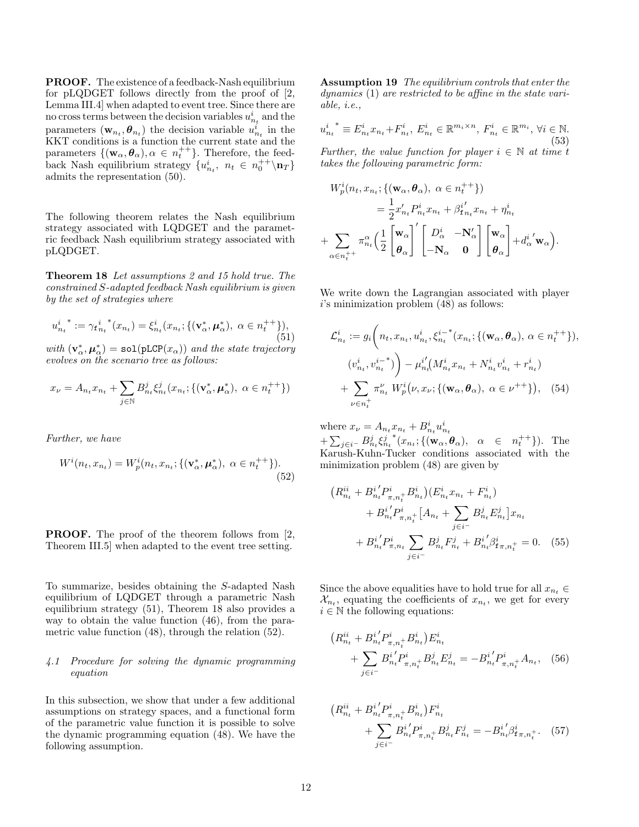PROOF. The existence of a feedback-Nash equilibrium for pLQDGET follows directly from the proof of [2, Lemma III.4] when adapted to event tree. Since there are no cross terms between the decision variables  $u_{n_t}^i$  and the parameters  $(\mathbf{w}_{n_t}, \theta_{n_t})$  the decision variable  $u_{n_t}^i$  in the KKT conditions is a function the current state and the parameters  $\{(\mathbf{w}_{\alpha}, \theta_{\alpha}), \alpha \in n_t^{++}\}\$ . Therefore, the feedback Nash equilibrium strategy  $\{u_{n_t}^i, n_t \in n_0^{++} \setminus \mathbf{n}_T\}$ admits the representation (50).

The following theorem relates the Nash equilibrium strategy associated with LQDGET and the parametric feedback Nash equilibrium strategy associated with pLQDGET.

Theorem 18 Let assumptions 2 and 15 hold true. The constrained S-adapted feedback Nash equilibrium is given by the set of strategies where

$$
u_{n_t}^{i^*} := \gamma_{n_t}^{i^*}(x_{n_t}) = \xi_{n_t}^{i}(x_{n_t}; \{(\mathbf{v}_{\alpha}^*, \boldsymbol{\mu}_{\alpha}^*), \ \alpha \in n_t^{++}\}), \tag{51}
$$

with  $(\mathbf{v}_{\alpha}^*, \boldsymbol{\mu}_{\alpha}^*) = \text{sol}(\text{pLCP}(x_{\alpha}))$  and the state trajectory evolves on the scenario tree as follows:

$$
x_{\nu} = A_{n_t} x_{n_t} + \sum_{j \in \mathbb{N}} B_{n_t}^j \xi_{n_t}^j (x_{n_t}; \{(\mathbf{v}_{\alpha}^*, \mu_{\alpha}^*), \ \alpha \in n_t^{++}\})
$$

Further, we have

$$
W^{i}(n_{t}, x_{n_{t}}) = W_{p}^{i}(n_{t}, x_{n_{t}}; \{(\mathbf{v}_{\alpha}^{*}, \boldsymbol{\mu}_{\alpha}^{*}), \ \alpha \in n_{t}^{++}\}).
$$
\n(52)

PROOF. The proof of the theorem follows from [2, Theorem III.5] when adapted to the event tree setting.

To summarize, besides obtaining the S-adapted Nash equilibrium of LQDGET through a parametric Nash equilibrium strategy (51), Theorem 18 also provides a way to obtain the value function (46), from the parametric value function (48), through the relation (52).

# 4.1 Procedure for solving the dynamic programming equation

In this subsection, we show that under a few additional assumptions on strategy spaces, and a functional form of the parametric value function it is possible to solve the dynamic programming equation (48). We have the following assumption.

Assumption 19 The equilibrium controls that enter the dynamics (1) are restricted to be affine in the state variable, i.e.,

$$
u_{n_t}^{i^*} \equiv E_{n_t}^i x_{n_t} + F_{n_t}^i, E_{n_t}^i \in \mathbb{R}^{m_i \times n}, F_{n_t}^i \in \mathbb{R}^{m_i}, \forall i \in \mathbb{N}.
$$
  
(53)  
Further, the value function for player  $i \in \mathbb{N}$  at time t  
takes the following parametric form:

$$
W_p^i(n_t, x_{n_t}; \{(\mathbf{w}_{\alpha}, \boldsymbol{\theta}_{\alpha}), \alpha \in n_t^{++}\})
$$
  
=  $\frac{1}{2} x'_{n_t} P_{n_t}^i x_{n_t} + \beta_{\mathbf{f}_{n_t}}^i x_{n_t} + \eta_{n_t}^i$   
+  $\sum_{\alpha \in n_t^{++}} \pi_{n_t}^{\alpha} \left(\frac{1}{2} \begin{bmatrix} \mathbf{w}_{\alpha} \\ \boldsymbol{\theta}_{\alpha} \end{bmatrix}^{\prime} \begin{bmatrix} D_{\alpha}^i & -\mathbf{N}_{\alpha}' \\ -\mathbf{N}_{\alpha} & \mathbf{0} \end{bmatrix} \begin{bmatrix} \mathbf{w}_{\alpha} \\ \boldsymbol{\theta}_{\alpha} \end{bmatrix} + d_{\alpha}^i \mathbf{w}_{\alpha} \right).$ 

We write down the Lagrangian associated with player  $i$ 's minimization problem  $(48)$  as follows:

$$
\mathcal{L}_{n_t}^{i} := g_i\left(n_t, x_{n_t}, u_{n_t}^{i}, \xi_{n_t}^{i^{-*}}(x_{n_t}; \{(\mathbf{w}_{\alpha}, \boldsymbol{\theta}_{\alpha}), \alpha \in n_t^{++}\}),\right)
$$

$$
(v_{n_t}^{i}, v_{n_t}^{i^{-*}})\right) - \mu_{n_t}^{i'}(M_{n_t}^{i} x_{n_t} + N_{n_t}^{i} v_{n_t}^{i} + r_{n_t}^{i})
$$

$$
+ \sum_{\nu \in n_t^{+}} \pi_{n_t}^{\nu} W_p^{i}(\nu, x_{\nu}; \{(\mathbf{w}_{\alpha}, \boldsymbol{\theta}_{\alpha}), \alpha \in \nu^{++}\}), \quad (54)
$$

where  $x_{\nu} = A_{n_t} x_{n_t} + B_{n_t}^i u_{n_t}^i$ +  $\sum_{j\in i^-} B_{n_t}^j \xi_{n_t}^j$ \* $(x_{n_t}; \{(\mathbf{w}_{\alpha}, \boldsymbol{\theta}_{\alpha}), \alpha \in n_t^{++}\})$ . The Karush-Kuhn-Tucker conditions associated with the minimization problem (48) are given by

$$
(R_{n_t}^{ii} + B_{n_t}^{i'} P_{\pi, n_t}^i B_{n_t}^i)(E_{n_t}^i x_{n_t} + F_{n_t}^i)
$$
  
+  $B_{n_t}^{i'} P_{\pi, n_t}^i [A_{n_t} + \sum_{j \in i^-} B_{n_t}^j E_{n_t}^j] x_{n_t}$   
+  $B_{n_t}^{i'} P_{\pi, n_t}^i \sum_{j \in i^-} B_{n_t}^j F_{n_t}^j + B_{n_t}^{i'} \beta_{\pi, n_t}^i = 0.$  (55)

Since the above equalities have to hold true for all  $x_{n_t} \in$  $\mathcal{X}_{n_t}$ , equating the coefficients of  $x_{n_t}$ , we get for every  $i \in \mathbb{N}$  the following equations:

$$
(R_{n_t}^{ii} + B_{n_t}^{i'} P_{\pi, n_t^+}^i B_{n_t}^i) E_{n_t}^i
$$
  
+ 
$$
\sum_{j \in i^-} B_{n_t}^{i'} P_{\pi, n_t^+}^i B_{n_t}^j E_{n_t}^j = -B_{n_t}^{i'} P_{\pi, n_t^+}^i A_{n_t}, \quad (56)
$$

$$
(R_{n_t}^{ii} + B_{n_t}^{i'} P_{\pi, n_t^+}^i B_{n_t}^i) F_{n_t}^i
$$
  
+ 
$$
\sum_{j \in i^-} B_{n_t}^{i'} P_{\pi, n_t^+}^i B_{n_t}^j F_{n_t}^j = -B_{n_t}^{i'} \beta_{\pi, n_t^+}^i. \quad (57)
$$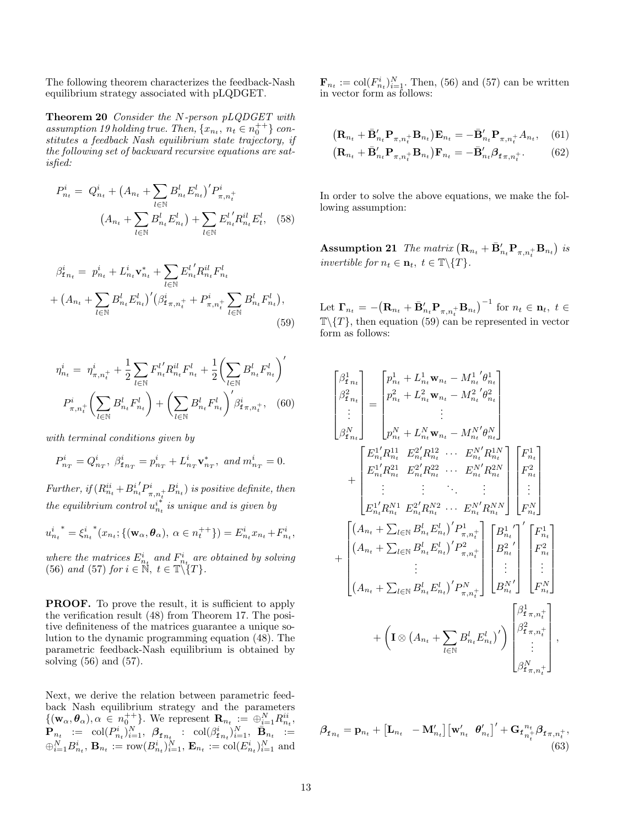The following theorem characterizes the feedback-Nash equilibrium strategy associated with pLQDGET.

Theorem 20 Consider the N-person pLQDGET with assumption 19 holding true. Then,  $\{x_{n_t}, n_t \in n_0^{++}\}$  constitutes a feedback Nash equilibrium state trajectory, if the following set of backward recursive equations are satisfied:

$$
P_{n_t}^i = Q_{n_t}^i + \left(A_{n_t} + \sum_{l \in \mathbb{N}} B_{n_t}^l E_{n_t}^l\right)' P_{\pi, n_t}^i
$$

$$
\left(A_{n_t} + \sum_{l \in \mathbb{N}} B_{n_t}^l E_{n_t}^l\right) + \sum_{l \in \mathbb{N}} E_{n_t}^l R_{n_t}^{il} E_t^l, \quad (58)
$$

$$
\beta_{\mathbf{f}_{n_t}}^i = p_{n_t}^i + L_{n_t}^i \mathbf{v}_{n_t}^* + \sum_{l \in \mathbb{N}} E_{n_t}^{l'} R_{n_t}^{il} F_{n_t}^l + \left( A_{n_t} + \sum_{l \in \mathbb{N}} B_{n_t}^l E_{n_t}^l \right)' \left( \beta_{\mathbf{f}_{\pi,n_t}}^i + P_{\pi,n_t}^i \sum_{l \in \mathbb{N}} B_{n_t}^l F_{n_t}^l \right),
$$
\n(59)

$$
\eta_{n_t}^i = \eta_{\pi,n_t}^i + \frac{1}{2} \sum_{l \in \mathbb{N}} F_{n_t}^{l'} R_{n_t}^{il} F_{n_t}^l + \frac{1}{2} \left( \sum_{l \in \mathbb{N}} B_{n_t}^l F_{n_t}^l \right)' \cdot P_{\pi,n_t}^i \left( \sum_{l \in \mathbb{N}} B_{n_t}^l F_{n_t}^l \right) + \left( \sum_{l \in \mathbb{N}} B_{n_t}^l F_{n_t}^l \right)' \beta_{\mathbf{f}_{\pi,n_t}^i}^i, \quad (60)
$$

with terminal conditions given by

$$
P_{n_T}^i = Q_{n_T}^i, \ \beta_{\text{f}_{n_T}}^i = p_{n_T}^i + L_{n_T}^i \mathbf{v}_{n_T}^*, \ and \ m_{n_T}^i = 0.
$$

Further, if  $(R_{n_t}^{ii} + B_{n_t}^{i'}$  $'P^i$  $\hat{p}_{\pi,n_t^+}^{i} B_{n_t}^{i})$  is positive definite, then the equilibrium control  $u_{n_t}^{i^*}$  $\sum_{i=1}^{\ast}$  is unique and is given by

$$
u_{n_t}^{i^*} = \xi_{n_t}^{i^*}(x_{n_t}; \{(\mathbf{w}_{\alpha}, \boldsymbol{\theta}_{\alpha}), \alpha \in n_t^{++}\}) = E_{n_t}^{i^*}x_{n_t} + F_{n_t}^{i^*},
$$

where the matrices  $E_{n_t}^i$  and  $F_{n_t}^i$  are obtained by solving (56) and (57) for  $i \in \mathbb{N}$ ,  $t \in \mathbb{T} \backslash \{T\}$ .

PROOF. To prove the result, it is sufficient to apply the verification result (48) from Theorem 17. The positive definiteness of the matrices guarantee a unique solution to the dynamic programming equation (48). The parametric feedback-Nash equilibrium is obtained by solving (56) and (57).

Next, we derive the relation between parametric feedback Nash equilibrium strategy and the parameters  $\{(\mathbf{w}_{\alpha}, \theta_{\alpha}), \alpha \in n_0^{++}\}\.$  We represent  $\mathbf{R}_{n_t} := \bigoplus_{i=1}^N R_{n_i}^{ii},\$  ${\bf P}_{n_t} \ := \ \operatorname{col}(P_{n_t}^i)_{i=1}^N, \ \ {\bm \beta}_{{\bf f}_{n_t}} \ \ : \ \operatorname{col}(\beta_{{\bf f}_{n_t}}^i)_{i=1}^N, \ \ \bar{{\bf B}}_{n_t} \ \ := \ \ \ \ \nonumber$  $\bigoplus_{i=1}^{N} B_{n_i}^i$ ,  $\mathbf{B}_{n_t} := \text{row}(B_{n_t}^i)_{i=1}^N$ ,  $\mathbf{E}_{n_t} := \text{col}(E_{n_t}^i)_{i=1}^N$  and

 $\mathbf{F}_{n_t} := \text{col}(F_{n_t}^i)_{i=1}^N$ . Then, (56) and (57) can be written in vector form as follows:

$$
(\mathbf{R}_{n_t} + \bar{\mathbf{B}}'_{n_t} \mathbf{P}_{\pi, n_t^+} \mathbf{B}_{n_t}) \mathbf{E}_{n_t} = -\bar{\mathbf{B}}'_{n_t} \mathbf{P}_{\pi, n_t^+} A_{n_t}, \quad (61)
$$

$$
(\mathbf{R}_{n_t} + \bar{\mathbf{B}}'_{n_t} \mathbf{P}_{\pi, n_t^+} \mathbf{B}_{n_t}) \mathbf{F}_{n_t} = -\bar{\mathbf{B}}'_{n_t} \beta_{\mathbf{f}_{\pi, n_t^+}}. \quad (62)
$$

In order to solve the above equations, we make the following assumption:

**Assumption 21** The matrix  $(\mathbf{R}_{n_t} + \bar{\mathbf{B}}'_{n_t} \mathbf{P}_{\pi,n_t^+} \mathbf{B}_{n_t})$  is invertible for  $n_t \in \mathbf{n}_t$ ,  $t \in \mathbb{T} \setminus \{T\}$ .

Let  $\mathbf{\Gamma}_{n_t} = -(\mathbf{R}_{n_t} + \bar{\mathbf{B}}'_{n_t}\mathbf{P}_{\pi,n_t} + \mathbf{B}_{n_t})^{-1}$  for  $n_t \in \mathbf{n}_t, t \in$  $\mathbb{T}\setminus\{T\}$ , then equation (59) can be represented in vector form as follows:

$$
\begin{bmatrix}\n\beta_{\mathbf{f}n_{t}}^{1} \\
\beta_{\mathbf{f}n_{t}}^{2} \\
\vdots \\
\beta_{\mathbf{f}n_{t}}^{N} \\
\vdots \\
\beta_{\mathbf{f}n_{t}}^{N}\n\end{bmatrix} = \begin{bmatrix}\np_{n_{t}}^{1} + L_{n_{t}}^{1} \mathbf{w}_{n_{t}} - M_{n_{t}}^{1} / \theta_{n_{t}}^{1} \\
p_{n_{t}}^{2} + L_{n_{t}}^{2} \mathbf{w}_{n_{t}} - M_{n_{t}}^{2} / \theta_{n_{t}}^{2} \\
\vdots \\
\vdots \\
\beta_{\mathbf{f}n_{t}}^{N} \\
\vdots \\
\beta_{\mathbf{f}n_{t}}^{N}\n\end{bmatrix} = \begin{bmatrix}\nP_{n_{t}}^{1} + L_{n_{t}}^{1} \mathbf{w}_{n_{t}} - M_{n_{t}}^{2} / \theta_{n_{t}}^{2} \\
\vdots \\
\vdots \\
\beta_{n_{t}}^{1} / R_{n_{t}}^{1} + L_{n_{t}}^{N} \mathbf{w}_{n_{t}} - M_{n_{t}}^{N} / \theta_{n_{t}}^{N}\n\end{bmatrix}
$$
\n
$$
+ \begin{bmatrix}\nE_{n_{t}}^{1} / R_{n_{t}}^{1} & E_{n_{t}}^{2} / R_{n_{t}}^{2} & \cdots & E_{n_{t}}^{N} / R_{n_{t}}^{2} \\
\vdots & \vdots & \ddots & \vdots \\
\vdots & \vdots & \ddots & \vdots \\
\vdots & \vdots & \ddots & \vdots \\
\beta_{n_{t}}^{1} / R_{n_{t}}^{N} + L_{n_{t}}^{2} / R_{n_{t}}^{N} & \cdots & E_{n_{t}}^{N} / R_{n_{t}}^{N}\n\end{bmatrix} \begin{bmatrix}\nF_{n_{t}}^{1} \\
F_{n_{t}}^{2} \\
\vdots \\
F_{n_{t}}^{N}\n\end{bmatrix}
$$
\n
$$
+ \begin{bmatrix}\n(A_{n_{t}} + \sum_{l \in \mathbb{N}} B_{n_{t}}^{l} E_{n_{t}}^{l}\n\end{bmatrix}^{l} \begin{bmatrix}\nP_{n_{t}}^{1} \\
P_{n_{t}}^{2} \\
\vdots \\
P_{n_{t}}^{2}\n\end{bmatrix} \begin{bmatrix}\nF_{n_{t}}^{1} \\
F_{
$$

 $\boldsymbol{\beta}_{\mathtt{f}_{n_t}} = \mathbf{p}_{n_t} + \begin{bmatrix} \mathbf{L}_{n_t} & -\mathbf{M}'_{n_t} \end{bmatrix} \begin{bmatrix} \mathbf{w}'_{n_t} & \boldsymbol{\theta}'_{n_t} \end{bmatrix}' + \mathbf{G}_{\mathtt{f}}{}_{n_t^+}^{n_t}$  $n_t^{n_t}\boldsymbol{\beta}_{\mathbf{f}_{\pi,n_t^+}},$ (63)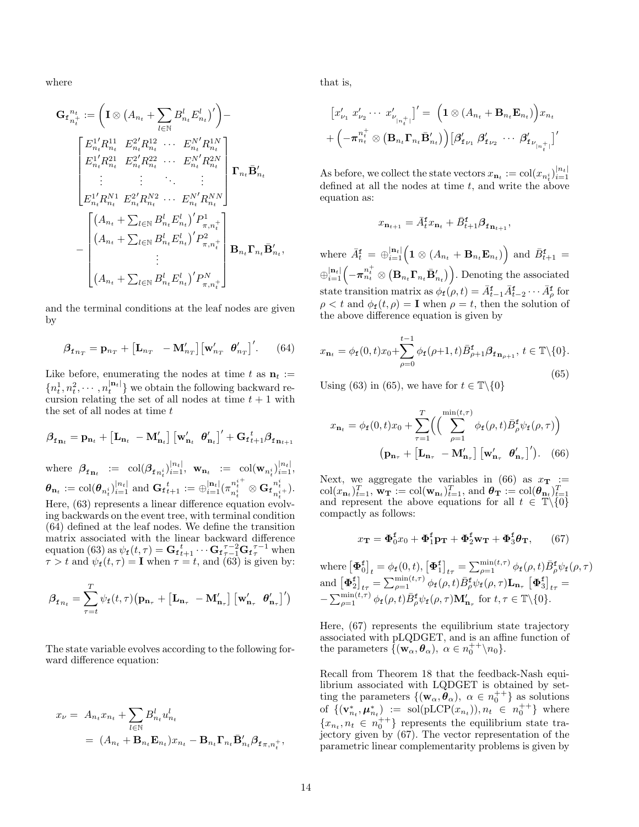where

$$
\mathbf{G}_{\mathbf{f}_{n_t}^{n_t}} := \left( \mathbf{I} \otimes \left( A_{n_t} + \sum_{l \in \mathbb{N}} B_{n_t}^l E_{n_t}^l \right)' \right) -
$$
\n
$$
\begin{bmatrix}\nE_{n_t}^{1'} R_{n_t}^{11} & E_{n_t}^{2'} R_{n_t}^{12} & \cdots & E_{n_t}^{N'} R_{n_t}^{1N} \\
E_{n_t}^{1'} R_{n_t}^{21} & E_{n_t}^{2'} R_{n_t}^{22} & \cdots & E_{n_t}^{N'} R_{n_t}^{2N} \\
\vdots & \vdots & \ddots & \vdots \\
E_{n_t}^{1'} R_{n_t}^{N_1} & E_{n_t}^{2'} R_{n_t}^{N_2} & \cdots & E_{n_t}^{N'} R_{n_t}^{N_N}\n\end{bmatrix} \mathbf{\Gamma}_{n_t} \bar{\mathbf{B}}'_{n_t}
$$
\n
$$
-\begin{bmatrix}\n(A_{n_t} + \sum_{l \in \mathbb{N}} B_{n_t}^l E_{n_t}^l)' P_{n_{t+1}}^1 \\
(A_{n_t} + \sum_{l \in \mathbb{N}} B_{n_t}^l E_{n_t}^l)' P_{n_{t+1}}^2 \\
\vdots \\
(A_{n_t} + \sum_{l \in \mathbb{N}} B_{n_t}^l E_{n_t}^l)' P_{n_{t+1}}^N\n\end{bmatrix} \mathbf{B}_{n_t} \mathbf{\Gamma}_{n_t} \bar{\mathbf{B}}'_{n_t},
$$

and the terminal conditions at the leaf nodes are given by

$$
\boldsymbol{\beta}_{\mathbf{f}_{n_T}} = \mathbf{p}_{n_T} + \begin{bmatrix} \mathbf{L}_{n_T} & -\mathbf{M}'_{n_T} \end{bmatrix} \begin{bmatrix} \mathbf{w}'_{n_T} & \boldsymbol{\theta}'_{n_T} \end{bmatrix}'. \tag{64}
$$

Like before, enumerating the nodes at time t as  $n_t :=$  ${n_t^1, n_t^2, \cdots, n_t^{|\mathbf{n}_t|}}$  we obtain the following backward recursion relating the set of all nodes at time  $t + 1$  with the set of all nodes at time  $t$ 

$$
\boldsymbol{\beta}_{\mathbf{f} \, \mathbf{n}_t} = \mathbf{p}_{\mathbf{n}_t} + \begin{bmatrix} \mathbf{L}_{\mathbf{n}_t} \; - \mathbf{M}'_{\mathbf{n}_t} \end{bmatrix} \begin{bmatrix} \mathbf{w}'_{\mathbf{n}_t} \; \boldsymbol{\theta}'_{\mathbf{n}_t} \end{bmatrix}' + \mathbf{G}_{\mathbf{f} \, \mathbf{f}_{t+1}} \boldsymbol{\beta}_{\mathbf{f} \, \mathbf{n}_{t+1}}
$$

where  $\beta_{\mathbf{f} \mathbf{n}_t} := \text{col}(\beta_{\mathbf{f} n_t^i})_{i=1}^{|n_t|}, \mathbf{w}_{\mathbf{n}_t} := \text{col}(\mathbf{w}_{n_t^i})_{i=1}^{|n_t|},$  $\boldsymbol{\theta_{n_t}} := \operatorname{col}(\boldsymbol{\theta_{n_t^i}})_{i=1}^{|n_t|} \text{ and } \mathbf{G_{f}}_{t+1}^t := \oplus_{i=1}^{|n_t|} (\pi_{n_t^i}^{n_t^{i+t}})$  $\frac{n_t^{i^+}}{n_t^{i^-}} \otimes \mathbf{G_f}^{n_t^{i^+}}_{n_t^{i^+}}).$ Here, (63) represents a linear difference equation evolving backwards on the event tree, with terminal condition (64) defined at the leaf nodes. We define the transition matrix associated with the linear backward difference equation (63) as  $\psi_f(t,\tau) = \mathbf{G_f}_{t+1}^t \cdots \mathbf{G_f}_{\tau-1}^{\tau-2} \mathbf{G_f}_{\tau}^{\tau-1}$  when  $\tau > t$  and  $\psi_{\mathbf{f}}(t, \tau) = \mathbf{I}$  when  $\tau = t$ , and (63) is given by:

$$
\boldsymbol{\beta}_{\mathbf{f}n_t} = \sum_{\tau=t}^{T} \psi_{\mathbf{f}}(t,\tau) \left( \mathbf{p}_{\mathbf{n}_{\tau}} + \begin{bmatrix} \mathbf{L}_{\mathbf{n}_{\tau}} & -\mathbf{M}'_{\mathbf{n}_{\tau}} \end{bmatrix} \begin{bmatrix} \mathbf{w}'_{\mathbf{n}_{\tau}} & \boldsymbol{\theta}'_{\mathbf{n}_{\tau}} \end{bmatrix}' \right)
$$

The state variable evolves according to the following forward difference equation:

$$
x_{\nu} = A_{n_t} x_{n_t} + \sum_{l \in \mathbb{N}} B_{n_t}^l u_{n_t}^l
$$
  
=  $(A_{n_t} + B_{n_t} E_{n_t}) x_{n_t} - B_{n_t} \Gamma_{n_t} \bar{B}'_{n_t} \beta_{f \pi, n_t^+},$ 

that is,

$$
\begin{aligned}\n\left[x'_{\nu_1} \; x'_{\nu_2} \cdots \; x'_{\nu_{|n_t^+|}}\right]' &= \left(1 \otimes (A_{n_t} + B_{n_t} E_{n_t})\right) x_{n_t} \\
&+ \left(-\pi_{n_t}^{n_t^+} \otimes \left(B_{n_t} \Gamma_{n_t} \bar{B}'_{n_t}\right)\right) \left[\beta'_{\mathbf{f}_{\nu_1}} \; \beta'_{\mathbf{f}_{\nu_2}} \; \cdots \; \beta'_{\mathbf{f}_{\nu_{|n_t^+|}}}\right]'\n\end{aligned}
$$

As before, we collect the state vectors  $x_{n_t} := \text{col}(x_{n_t^i})_{i=1}^{|n_t|}$ defined at all the nodes at time t, and write the above equation as:

$$
x_{\mathbf{n}_{t+1}} = \bar{A}_t^{\mathbf{f}} x_{\mathbf{n}_t} + \bar{B}_{t+1}^{\mathbf{f}} \boldsymbol{\beta}_{\mathbf{f} \, \mathbf{n}_{t+1}},
$$

where  $\bar{A}_t^{\text{f}} = \bigoplus_{i=1}^{\lfloor n_t \rfloor} \left( \mathbf{1} \otimes (A_{n_t} + B_{n_t} \mathbf{E}_{n_t}) \right)$  and  $\bar{B}_{t+1}^{\text{f}} =$  $\bigoplus_{i=1}^{\lfloor n_t \rfloor} \left( -\pi_{n_t}^{n_t^+} \otimes \left( \mathbf{B}_{n_t} \mathbf{\Gamma}_{n_t} \bar{\mathbf{B}}'_{n_t} \right) \right)$ . Denoting the associated state transition matrix as  $\phi_f(\rho, t) = \bar{A}^{\text{f}}_{t-1} \bar{A}^{\text{f}}_{t-2} \cdots \bar{A}^{\text{f}}_{\rho}$  for  $\rho < t$  and  $\phi_f(t, \rho) = \mathbf{I}$  when  $\rho = t$ , then the solution of the above difference equation is given by

$$
x_{\mathbf{n}_t} = \phi_{\mathbf{f}}(0, t)x_0 + \sum_{\rho=0}^{t-1} \phi_{\mathbf{f}}(\rho+1, t)\bar{B}_{\rho+1}^{\mathbf{f}} \beta_{\mathbf{f}\mathbf{n}_{\rho+1}}, t \in \mathbb{T}\backslash\{0\}.
$$
\n(65)

Using (63) in (65), we have for  $t \in \mathbb{T} \backslash \{0\}$ 

$$
x_{\mathbf{n}_t} = \phi_{\mathbf{f}}(0, t)x_0 + \sum_{\tau=1}^T \Biggl( \Biggl( \sum_{\rho=1}^{\min(t, \tau)} \phi_{\mathbf{f}}(\rho, t) \bar{B}_{\rho}^{\mathbf{f}} \psi_{\mathbf{f}}(\rho, \tau) \Biggr) \left( \mathbf{p}_{\mathbf{n}_{\tau}} + \left[ \mathbf{L}_{\mathbf{n}_{\tau}} - \mathbf{M}'_{\mathbf{n}_{\tau}} \right] \left[ \mathbf{w}'_{\mathbf{n}_{\tau}} \ \theta'_{\mathbf{n}_{\tau}} \right]' \right).
$$
(66)

Next, we aggregate the variables in (66) as  $x_T :=$  $col(x_{n_t})_{t=1}^T$ ,  $\mathbf{w_T} := col(\mathbf{w_{n_t}})_{t=1}^T$ , and  $\boldsymbol{\theta_T} := col(\boldsymbol{\theta_{n_t}})_{t=1}^T$ and represent the above equations for all  $t \in \mathbb{T} \backslash \{0\}$ compactly as follows:

$$
x_{\mathbf{T}} = \mathbf{\Phi}_0^{\mathbf{f}} x_0 + \mathbf{\Phi}_1^{\mathbf{f}} \mathbf{p}_{\mathbf{T}} + \mathbf{\Phi}_2^{\mathbf{f}} \mathbf{w}_{\mathbf{T}} + \mathbf{\Phi}_3^{\mathbf{f}} \boldsymbol{\theta}_{\mathbf{T}},\qquad(67)
$$

where  $\left[\mathbf{\Phi}_0^{\text{f}}\right]$  $\left[ \begin{smallmatrix} \texttt{f} \ 0 \end{smallmatrix} \right]_t = \phi_{\texttt{f}}(0, t), \left[ \boldsymbol{\Phi}^{\texttt{f}}_1 \right]$  $\left[ \begin{smallmatrix} \texttt{f} \ 1 \end{smallmatrix} \right]_{t \tau} = \sum_{\rho=1}^{\min(t,\tau)} \phi_{\texttt{f}}(\rho,t) \bar{B}^{\texttt{f}}_{\rho} \psi_{\texttt{f}}(\rho,\tau)$ and  $\left[ \Phi_2^{\text{f}} \right]$  $\left[ \Phi^{\text{f}}_{2} \right]_{t\tau} = \sum_{\rho=1}^{\min(t,\tau)} \phi_{\text{f}}(\rho,t) \bar{B}^{\text{f}}_{\rho} \psi_{\text{f}}(\rho,\tau) \mathbf{L}_{\mathbf{n}_{\tau}} \left[ \mathbf{\Phi}^{\text{f}}_{3} \right]$  $\left[ \frac{\mathbf{f}}{3} \right]_{t\tau} =$  $-\sum_{\rho=1}^{\min(t,\tau)} \phi_{\mathbf{f}}(\rho,t) \bar{B}^{\mathbf{f}}_{\rho} \psi_{\mathbf{f}}(\rho,\tau) \mathbf{M}'_{\mathbf{n}_{\tau}} \text{ for } t, \tau \in \mathbb{T} \setminus \{0\}.$ 

Here, (67) represents the equilibrium state trajectory associated with pLQDGET, and is an affine function of the parameters  $\{(\mathbf{w}_{\alpha}, \theta_{\alpha}), \alpha \in n_0^{++} \setminus n_0\}.$ 

Recall from Theorem 18 that the feedback-Nash equilibrium associated with LQDGET is obtained by setting the parameters  $\{(\mathbf{w}_{\alpha}, \dot{\boldsymbol{\theta}}_{\alpha}), \alpha \in n_0^{++}\}\$ as solutions of  $\{(\mathbf{v}_{n_t}^*, \boldsymbol{\mu}_{n_t}^*)\} := \text{sol}(\text{pLCP}(x_{n_t})), n_t \in n_0^{++}\}\$  where  ${x_{n_t}, n_t \in n_0^{++}}$  represents the equilibrium state trajectory given by (67). The vector representation of the parametric linear complementarity problems is given by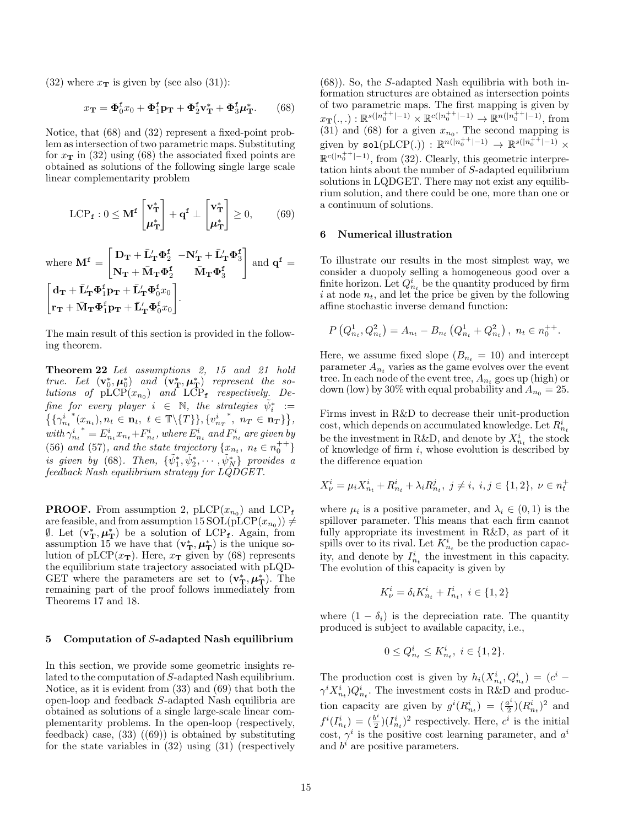(32) where  $x_T$  is given by (see also (31)):

$$
x_{\mathbf{T}} = \mathbf{\Phi}_{0}^{\mathbf{f}} x_{0} + \mathbf{\Phi}_{1}^{\mathbf{f}} \mathbf{p}_{\mathbf{T}} + \mathbf{\Phi}_{2}^{\mathbf{f}} \mathbf{v}_{\mathbf{T}}^{*} + \mathbf{\Phi}_{3}^{\mathbf{f}} \boldsymbol{\mu}_{\mathbf{T}}^{*}.
$$
 (68)

Notice, that (68) and (32) represent a fixed-point problem as intersection of two parametric maps. Substituting for  $x_{\rm T}$  in (32) using (68) the associated fixed points are obtained as solutions of the following single large scale linear complementarity problem

$$
\text{LCP}_{\mathbf{f}} : 0 \leq \mathbf{M}^{\mathbf{f}} \begin{bmatrix} \mathbf{v}_{\mathbf{T}}^{*} \\ \mu_{\mathbf{T}}^{*} \end{bmatrix} + \mathbf{q}^{\mathbf{f}} \perp \begin{bmatrix} \mathbf{v}_{\mathbf{T}}^{*} \\ \mu_{\mathbf{T}}^{*} \end{bmatrix} \geq 0, \qquad (69)
$$

$$
\begin{aligned} &\text{where } \mathbf{M}^{\mathrm{f}} = \begin{bmatrix} \mathbf{D}_\mathrm{T} + \bar{\mathbf{L}}_\mathrm{T}' \boldsymbol{\Phi}_2^\mathrm{f} \ \ -\mathbf{N}_\mathrm{T}' + \bar{\mathbf{L}}_\mathrm{T}' \boldsymbol{\Phi}_3^\mathrm{f} \ \ \mathbf{N}_\mathrm{T} + \bar{\mathbf{M}}_\mathrm{T} \boldsymbol{\Phi}_2^\mathrm{f} \ \ \ \mathbf{M}_\mathrm{T} \boldsymbol{\Phi}_3^\mathrm{f} \end{bmatrix} \text{ and } \mathbf{q}^{\mathrm{f}} = \\ &\begin{bmatrix} \mathbf{d}_\mathrm{T} + \bar{\mathbf{L}}_\mathrm{T}' \boldsymbol{\Phi}_1^\mathrm{f} \mathbf{p}_\mathrm{T} + \bar{\mathbf{L}}_\mathrm{T}' \boldsymbol{\Phi}_0^\mathrm{f} x_0 \ \ \mathbf{r}_\mathrm{T} + \bar{\mathbf{M}}_\mathrm{T} \boldsymbol{\Phi}_1^\mathrm{f} \mathbf{p}_\mathrm{T} + \bar{\mathbf{L}}_\mathrm{T}' \boldsymbol{\Phi}_0^\mathrm{f} x_0 \end{bmatrix} . \end{aligned}
$$

The main result of this section is provided in the following theorem.

Theorem 22 Let assumptions 2, 15 and 21 hold true. Let  $(\mathbf{v}_0^*, \boldsymbol{\mu}_0^*)$  and  $(\mathbf{v}_\mathbf{T}^*, \boldsymbol{\mu}_\mathbf{T}^*)$  represent the solutions of  $pLCP(x_{n_0})$  and  $LCP_f$  respectively. De- $\emph{fine for every player } i \in \mathbb{N}, \emph{ the strategies } \tilde{\psi}_i^* \; :=$  $\left\{\gamma_{n_t}^i\right\}$ \* $(x_{n_t}), n_t \in \mathbf{n}_t, t \in \mathbb{T} \setminus \{T\}, \{v_{n_T}^i\}$ \*,  $n_T \in \mathbf{n}_T \},$  $with{\gamma^i_{n_t}}^* = E^i_{n_t}x_{n_t}+F^i_{n_t}, where \, E^i_{n_t} \, and \, F^i_{n_t} \, are \, given \, by$ (56) and (57), and the state trajectory  $\{x_{n_t}, n_t \in n_0^{++}\}\$ is given by (68). Then,  $\{\tilde{\psi}_1^*, \tilde{\psi}_2^*, \cdots, \tilde{\psi}_N^*\}$  provides a feedback Nash equilibrium strategy for LQDGET.

**PROOF.** From assumption 2,  $pLCP(x_{n_0})$  and  $LCP_f$ are feasible, and from assumption  $15\,\text{SOL}(\text{pLCP}(x_{n_0})) \neq$  $\emptyset$ . Let  $(\mathbf{v}_{\mathbf{T}}^*, \boldsymbol{\mu}_{\mathbf{T}}^*)$  be a solution of LCP<sub>f</sub>. Again, from assumption 15 we have that  $(\mathbf{v}_{\mathbf{T}}^*, \boldsymbol{\mu}_{\mathbf{T}}^*)$  is the unique solution of pLCP( $x_T$ ). Here,  $x_T$  given by (68) represents the equilibrium state trajectory associated with pLQD-GET where the parameters are set to  $(\mathbf{v}_\mathbf{T}^*, \boldsymbol{\mu}_\mathbf{T}^*)$ . The remaining part of the proof follows immediately from Theorems 17 and 18.

#### 5 Computation of  $S$ -adapted Nash equilibrium

In this section, we provide some geometric insights related to the computation of S-adapted Nash equilibrium. Notice, as it is evident from (33) and (69) that both the open-loop and feedback S-adapted Nash equilibria are obtained as solutions of a single large-scale linear complementarity problems. In the open-loop (respectively, feedback) case,  $(33)$   $((69))$  is obtained by substituting for the state variables in (32) using (31) (respectively  $(68)$ ). So, the *S*-adapted Nash equilibria with both information structures are obtained as intersection points of two parametric maps. The first mapping is given by  $x_{\mathbf{T}}(\cdot,\cdot): \mathbb{R}^{s(|n_0^{++}|-1)} \times \mathbb{R}^{c(|n_0^{++}|-1)} \to \mathbb{R}^{n(|n_0^{++}|-1)},$  from (31) and (68) for a given  $x_{n_0}$ . The second mapping is given by  $\text{sol}(pLCP(.)) : \mathbb{R}^{n(|n_0^{++}|-1)} \to \mathbb{R}^{s(|n_0^{++}|-1)} \times$  $\mathbb{R}^{c(|n_0^{++}|-1)}$ , from (32). Clearly, this geometric interpretation hints about the number of S-adapted equilibrium solutions in LQDGET. There may not exist any equilibrium solution, and there could be one, more than one or a continuum of solutions.

# 6 Numerical illustration

To illustrate our results in the most simplest way, we consider a duopoly selling a homogeneous good over a finite horizon. Let  $Q_{n_t}^i$  be the quantity produced by firm i at node  $n_t$ , and let the price be given by the following affine stochastic inverse demand function:

$$
P(Q_{n_t}^1, Q_{n_t}^2) = A_{n_t} - B_{n_t} (Q_{n_t}^1 + Q_{n_t}^2), \ n_t \in n_0^{++}.
$$

Here, we assume fixed slope  $(B_{n_t} = 10)$  and intercept parameter  $A_{n_t}$  varies as the game evolves over the event tree. In each node of the event tree,  $A_{n_t}$  goes up (high) or down (low) by 30% with equal probability and  $A_{n_0} = 25$ .

Firms invest in R&D to decrease their unit-production cost, which depends on accumulated knowledge. Let  $\mathcal{R}_{n_t}^i$ be the investment in R&D, and denote by  $X_{n_t}^i$  the stock of knowledge of firm  $i$ , whose evolution is described by the difference equation

$$
X_{\nu}^{i} = \mu_{i} X_{n_{t}}^{i} + R_{n_{t}}^{i} + \lambda_{i} R_{n_{t}}^{j}, \ j \neq i, \ i, j \in \{1, 2\}, \ \nu \in n_{t}^{+}
$$

where  $\mu_i$  is a positive parameter, and  $\lambda_i \in (0,1)$  is the spillover parameter. This means that each firm cannot fully appropriate its investment in R&D, as part of it spills over to its rival. Let  $K_{n_t}^i$  be the production capacity, and denote by  $I_{n_t}^i$  the investment in this capacity. The evolution of this capacity is given by

$$
K_{\nu}^{i} = \delta_{i} K_{n_{t}}^{i} + I_{n_{t}}^{i}, \ i \in \{1, 2\}
$$

where  $(1 - \delta_i)$  is the depreciation rate. The quantity produced is subject to available capacity, i.e.,

$$
0 \le Q_{n_t}^i \le K_{n_t}^i, \ i \in \{1, 2\}.
$$

The production cost is given by  $h_i(X_{n_t}^i, Q_{n_t}^i) = (c^i \gamma^{i} X_{n_{t}}^{i} Q_{n_{t}}^{i}$ . The investment costs in R&D and production capacity are given by  $g^{i}(R_{n_t}^i) = \left(\frac{a^i}{2}\right)$  $\frac{a^i}{2}$  $\frac{(R^i_{n_t})^2}{2}$  and  $f^{i}(I_{n_{t}}^{i}) = (\frac{b^{i}}{2})$  $\frac{\partial^2}{\partial n_i}(I_{n_i}^i)^2$  respectively. Here,  $c^i$  is the initial cost,  $\gamma^i$  is the positive cost learning parameter, and  $a^i$ and  $b^i$  are positive parameters.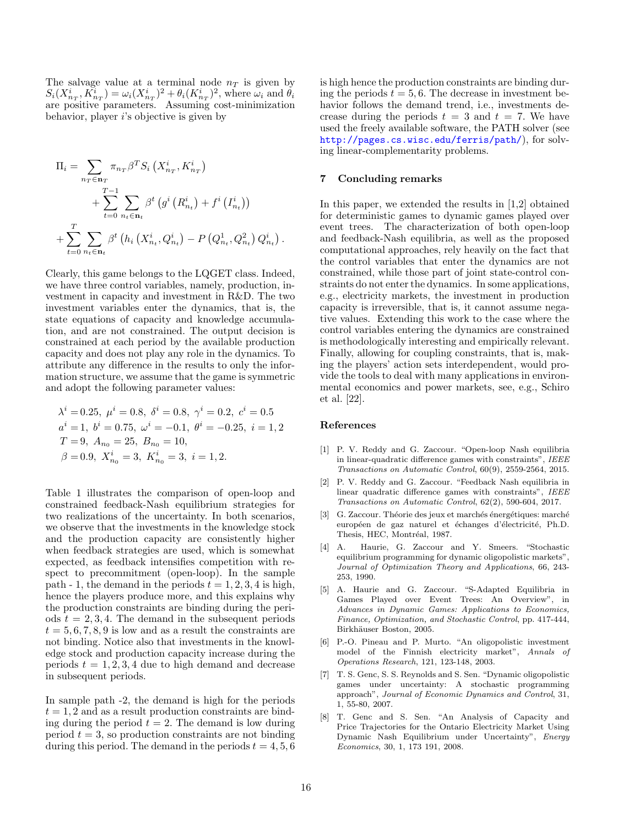The salvage value at a terminal node  $n<sub>T</sub>$  is given by  $S_i(X_{n_T}^i, K_{n_T}^i) = \omega_i(X_{n_T}^i)^2 + \theta_i(K_{n_T}^i)^2$ , where  $\omega_i$  and  $\theta_i$ are positive parameters. Assuming cost-minimization behavior, player  $i$ 's objective is given by

$$
\Pi_{i} = \sum_{n_{T} \in \mathbf{n}_{T}} \pi_{n_{T}} \beta^{T} S_{i} \left(X_{n_{T}}^{i}, K_{n_{T}}^{i}\right) \n+ \sum_{t=0}^{T-1} \sum_{n_{t} \in \mathbf{n}_{t}} \beta^{t} \left(g^{i} \left(R_{n_{t}}^{i}\right) + f^{i} \left(I_{n_{t}}^{i}\right)\right) \n+ \sum_{t=0}^{T} \sum_{n_{t} \in \mathbf{n}_{t}} \beta^{t} \left(h_{i} \left(X_{n_{t}}^{i}, Q_{n_{t}}^{i}\right) - P\left(Q_{n_{t}}^{1}, Q_{n_{t}}^{2}\right) Q_{n_{t}}^{i}\right).
$$

Clearly, this game belongs to the LQGET class. Indeed, we have three control variables, namely, production, investment in capacity and investment in R&D. The two investment variables enter the dynamics, that is, the state equations of capacity and knowledge accumulation, and are not constrained. The output decision is constrained at each period by the available production capacity and does not play any role in the dynamics. To attribute any difference in the results to only the information structure, we assume that the game is symmetric and adopt the following parameter values:

$$
\lambda^{i} = 0.25, \ \mu^{i} = 0.8, \ \delta^{i} = 0.8, \ \gamma^{i} = 0.2, \ c^{i} = 0.5
$$
  
\n $a^{i} = 1, \ b^{i} = 0.75, \ \omega^{i} = -0.1, \ \theta^{i} = -0.25, \ i = 1, 2$   
\n $T = 9, \ A_{n_{0}} = 25, \ B_{n_{0}} = 10,$   
\n $\beta = 0.9, \ X^{i}_{n_{0}} = 3, \ K^{i}_{n_{0}} = 3, \ i = 1, 2.$ 

Table 1 illustrates the comparison of open-loop and constrained feedback-Nash equilibrium strategies for two realizations of the uncertainty. In both scenarios, we observe that the investments in the knowledge stock and the production capacity are consistently higher when feedback strategies are used, which is somewhat expected, as feedback intensifies competition with respect to precommitment (open-loop). In the sample path - 1, the demand in the periods  $t = 1, 2, 3, 4$  is high, hence the players produce more, and this explains why the production constraints are binding during the periods  $t = 2, 3, 4$ . The demand in the subsequent periods  $t = 5, 6, 7, 8, 9$  is low and as a result the constraints are not binding. Notice also that investments in the knowledge stock and production capacity increase during the periods  $t = 1, 2, 3, 4$  due to high demand and decrease in subsequent periods.

In sample path -2, the demand is high for the periods  $t = 1, 2$  and as a result production constraints are binding during the period  $t = 2$ . The demand is low during period  $t = 3$ , so production constraints are not binding during this period. The demand in the periods  $t = 4, 5, 6$  is high hence the production constraints are binding during the periods  $t = 5, 6$ . The decrease in investment behavior follows the demand trend, i.e., investments decrease during the periods  $t = 3$  and  $t = 7$ . We have used the freely available software, the PATH solver (see http://pages.cs.wisc.edu/ferris/path/), for solving linear-complementarity problems.

# 7 Concluding remarks

In this paper, we extended the results in [1,2] obtained for deterministic games to dynamic games played over event trees. The characterization of both open-loop and feedback-Nash equilibria, as well as the proposed computational approaches, rely heavily on the fact that the control variables that enter the dynamics are not constrained, while those part of joint state-control constraints do not enter the dynamics. In some applications, e.g., electricity markets, the investment in production capacity is irreversible, that is, it cannot assume negative values. Extending this work to the case where the control variables entering the dynamics are constrained is methodologically interesting and empirically relevant. Finally, allowing for coupling constraints, that is, making the players' action sets interdependent, would provide the tools to deal with many applications in environmental economics and power markets, see, e.g., Schiro et al. [22].

#### References

- [1] P. V. Reddy and G. Zaccour. "Open-loop Nash equilibria in linear-quadratic difference games with constraints", IEEE Transactions on Automatic Control, 60(9), 2559-2564, 2015.
- [2] P. V. Reddy and G. Zaccour. "Feedback Nash equilibria in linear quadratic difference games with constraints", IEEE Transactions on Automatic Control, 62(2), 590-604, 2017.
- G. Zaccour. Théorie des jeux et marchés énergétiques: marché européen de gaz naturel et échanges d'électricité, Ph.D. Thesis, HEC, Montréal, 1987.
- [4] A. Haurie, G. Zaccour and Y. Smeers. "Stochastic equilibrium programming for dynamic oligopolistic markets", Journal of Optimization Theory and Applications, 66, 243- 253, 1990.
- [5] A. Haurie and G. Zaccour. "S-Adapted Equilibria in Games Played over Event Trees: An Overview", in Advances in Dynamic Games: Applications to Economics, Finance, Optimization, and Stochastic Control, pp. 417-444, Birkhäuser Boston, 2005.
- [6] P.-O. Pineau and P. Murto. "An oligopolistic investment model of the Finnish electricity market", Annals of Operations Research, 121, 123-148, 2003.
- [7] T. S. Genc, S. S. Reynolds and S. Sen. "Dynamic oligopolistic games under uncertainty: A stochastic programming approach", Journal of Economic Dynamics and Control, 31, 1, 55-80, 2007.
- [8] T. Genc and S. Sen. "An Analysis of Capacity and Price Trajectories for the Ontario Electricity Market Using Dynamic Nash Equilibrium under Uncertainty", Energy Economics, 30, 1, 173 191, 2008.